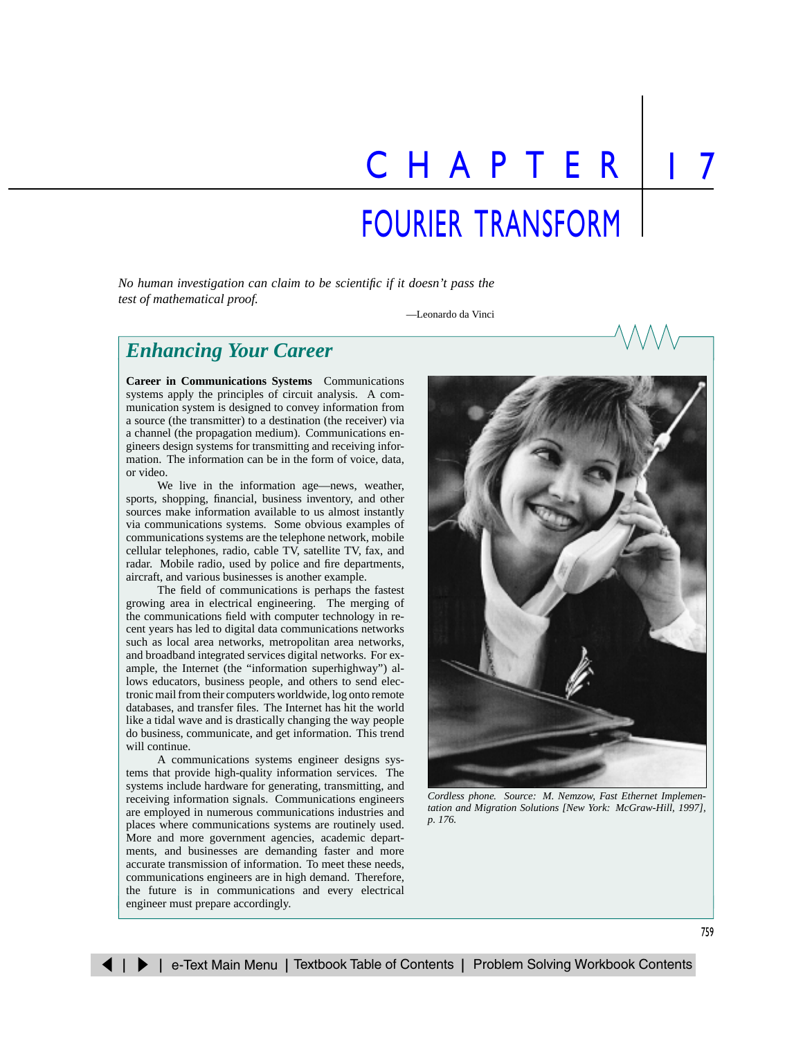<span id="page-0-0"></span>*No human investigation can claim to be scientific if it doesn't pass the test of mathematical proof.*

—Leonardo da Vinci

# *Enhancing Your Career*

**Career in Communications Systems** Communications systems apply the principles of circuit analysis. A communication system is designed to convey information from a source (the transmitter) to a destination (the receiver) via a channel (the propagation medium). Communications engineers design systems for transmitting and receiving information. The information can be in the form of voice, data, or video.

We live in the information age—news, weather, sports, shopping, financial, business inventory, and other sources make information available to us almost instantly via communications systems. Some obvious examples of communications systems are the telephone network, mobile cellular telephones, radio, cable TV, satellite TV, fax, and radar. Mobile radio, used by police and fire departments, aircraft, and various businesses is another example.

The field of communications is perhaps the fastest growing area in electrical engineering. The merging of the communications field with computer technology in recent years has led to digital data communications networks such as local area networks, metropolitan area networks, and broadband integrated services digital networks. For example, the Internet (the "information superhighway") allows educators, business people, and others to send electronic mail from their computers worldwide, log onto remote databases, and transfer files. The Internet has hit the world like a tidal wave and is drastically changing the way people do business, communicate, and get information. This trend will continue.

A communications systems engineer designs systems that provide high-quality information services. The systems include hardware for generating, transmitting, and receiving information signals. Communications engineers are employed in numerous communications industries and places where communications systems are routinely used. More and more government agencies, academic departments, and businesses are demanding faster and more accurate transmission of information. To meet these needs, communications engineers are in high demand. Therefore, the future is in communications and every electrical engineer must prepare accordingly.



*Cordless phone. Source: M. Nemzow, Fast Ethernet Implementation and Migration Solutions [New York: McGraw-Hill, 1997], p. 176.*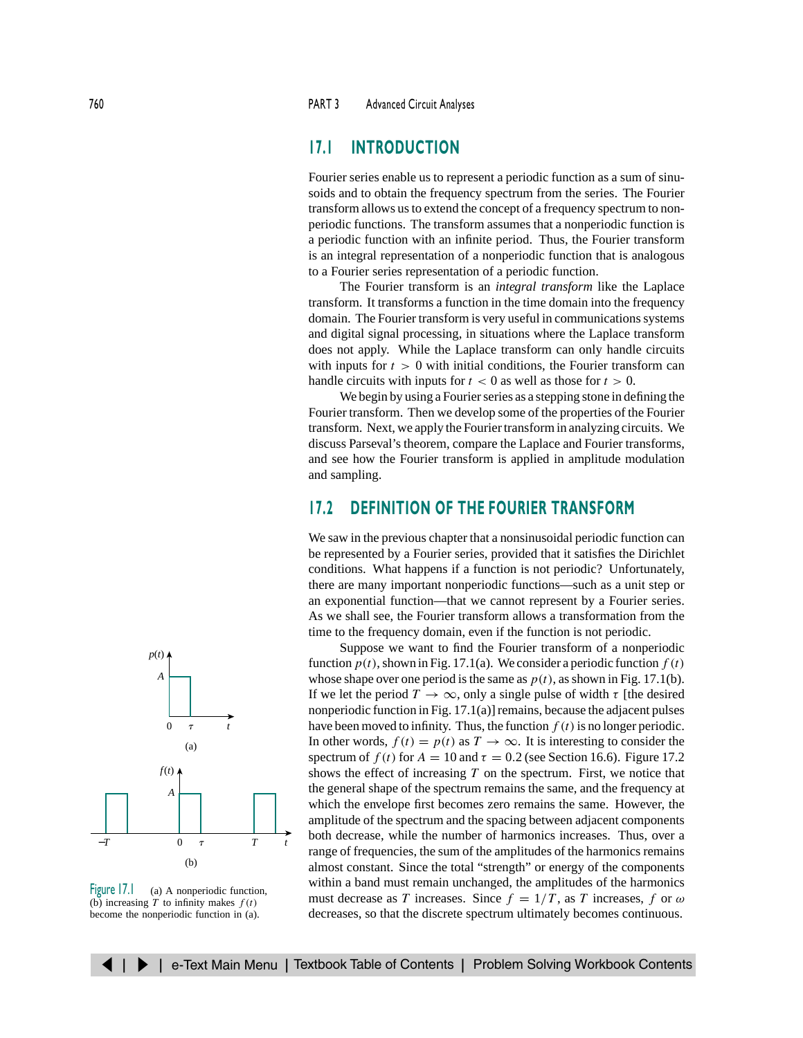# **17.1 INTRODUCTION**

Fourier series enable us to represent a periodic function as a sum of sinusoids and to obtain the frequency spectrum from the series. The Fourier transform allows us to extend the concept of a frequency spectrum to nonperiodic functions. The transform assumes that a nonperiodic function is a periodic function with an infinite period. Thus, the Fourier transform is an integral representation of a nonperiodic function that is analogous to a Fourier series representation of a periodic function.

The Fourier transform is an *integral transform* like the Laplace transform. It transforms a function in the time domain into the frequency domain. The Fourier transform is very useful in communications systems and digital signal processing, in situations where the Laplace transform does not apply. While the Laplace transform can only handle circuits with inputs for  $t > 0$  with initial conditions, the Fourier transform can handle circuits with inputs for  $t < 0$  as well as those for  $t > 0$ .

We begin by using a Fourier series as a stepping stone in defining the Fourier transform. Then we develop some of the properties of the Fourier transform. Next, we apply the Fourier transform in analyzing circuits. We discuss Parseval's theorem, compare the Laplace and Fourier transforms, and see how the Fourier transform is applied in amplitude modulation and sampling.

# **17.2 DEFINITION OF THE FOURIER TRANSFORM**

We saw in the previous chapter that a nonsinusoidal periodic function can be represented by a Fourier series, provided that it satisfies the Dirichlet conditions. What happens if a function is not periodic? Unfortunately, there are many important nonperiodic functions—such as a unit step or an exponential function—that we cannot represent by a Fourier series. As we shall see, the Fourier transform allows a transformation from the time to the frequency domain, even if the function is not periodic.

Suppose we want to find the Fourier transform of a nonperiodic function  $p(t)$ , shown in Fig. 17.1(a). We consider a periodic function  $f(t)$ whose shape over one period is the same as  $p(t)$ , as shown in Fig. 17.1(b). If we let the period  $T \to \infty$ , only a single pulse of width  $\tau$  [the desired nonperiodic function in Fig. 17.1(a)] remains, because the adjacent pulses have been moved to infinity. Thus, the function  $f(t)$  is no longer periodic. In other words,  $f(t) = p(t)$  as  $T \to \infty$ . It is interesting to consider the spectrum of  $f(t)$  for  $A = 10$  and  $\tau = 0.2$  (see Section 16.6). Figure 17.2 shows the effect of increasing *T* on the spectrum. First, we notice that the general shape of the spectrum remains the same, and the frequency at which the envelope first becomes zero remains the same. However, the amplitude of the spectrum and the spacing between adjacent components both decrease, while the number of harmonics increases. Thus, over a range of frequencies, the sum of the amplitudes of the harmonics remains almost constant. Since the total "strength" or energy of the components within a band must remain unchanged, the amplitudes of the harmonics must decrease as *T* increases. Since  $f = 1/T$ , as *T* increases, *f* or  $\omega$ decreases, so that the discrete spectrum ultimately becomes continuous.



Figure 17.1 (a) A nonperiodic function, (b) increasing  $T$  to infinity makes  $f(t)$ become the nonperiodic function in (a).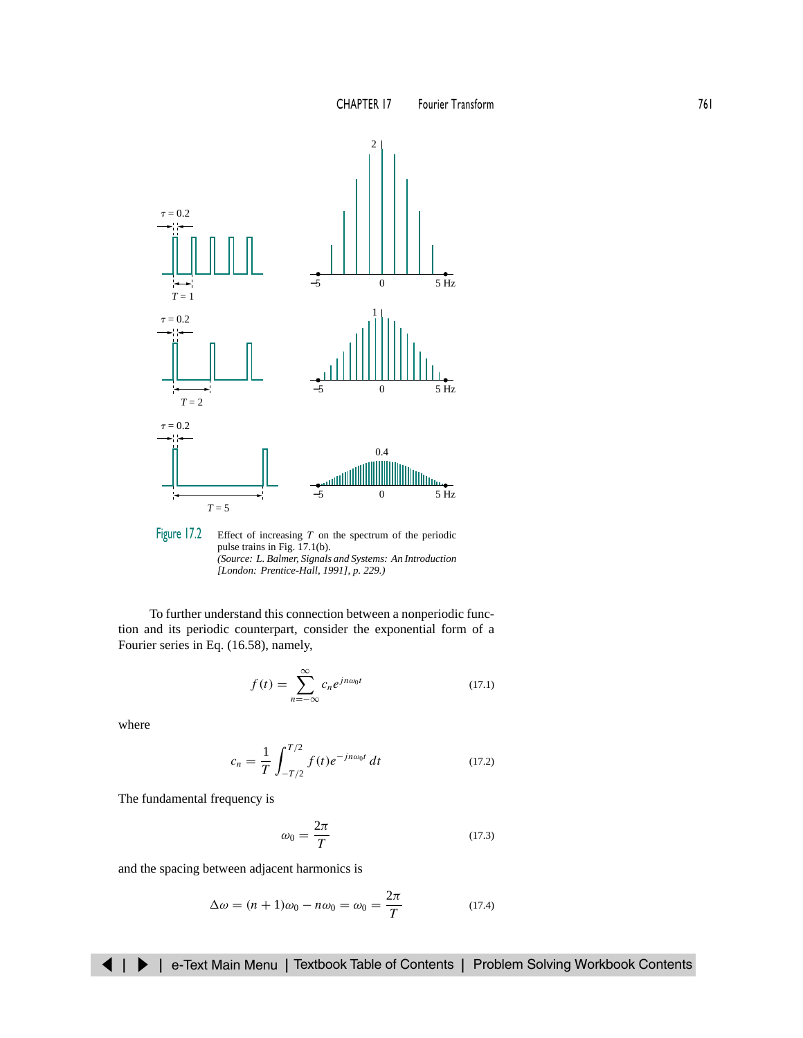<span id="page-2-0"></span>

Figure 17.2 Effect of increasing *T* on the spectrum of the periodic pulse trains in Fig. 17.1(b). *(Source: L. Balmer, Signals and Systems: An Introduction [London: Prentice-Hall, 1991], p. 229.)*

To further understand this connection between a nonperiodic function and its periodic counterpart, consider the exponential form of a Fourier series in Eq. (16.58), namely,

$$
f(t) = \sum_{n = -\infty}^{\infty} c_n e^{jn\omega_0 t}
$$
 (17.1)

where

$$
c_n = \frac{1}{T} \int_{-T/2}^{T/2} f(t) e^{-jn\omega_0 t} dt
$$
 (17.2)

The fundamental frequency is

$$
\omega_0 = \frac{2\pi}{T} \tag{17.3}
$$

and the spacing between adjacent harmonics is

$$
\Delta \omega = (n+1)\omega_0 - n\omega_0 = \omega_0 = \frac{2\pi}{T}
$$
 (17.4)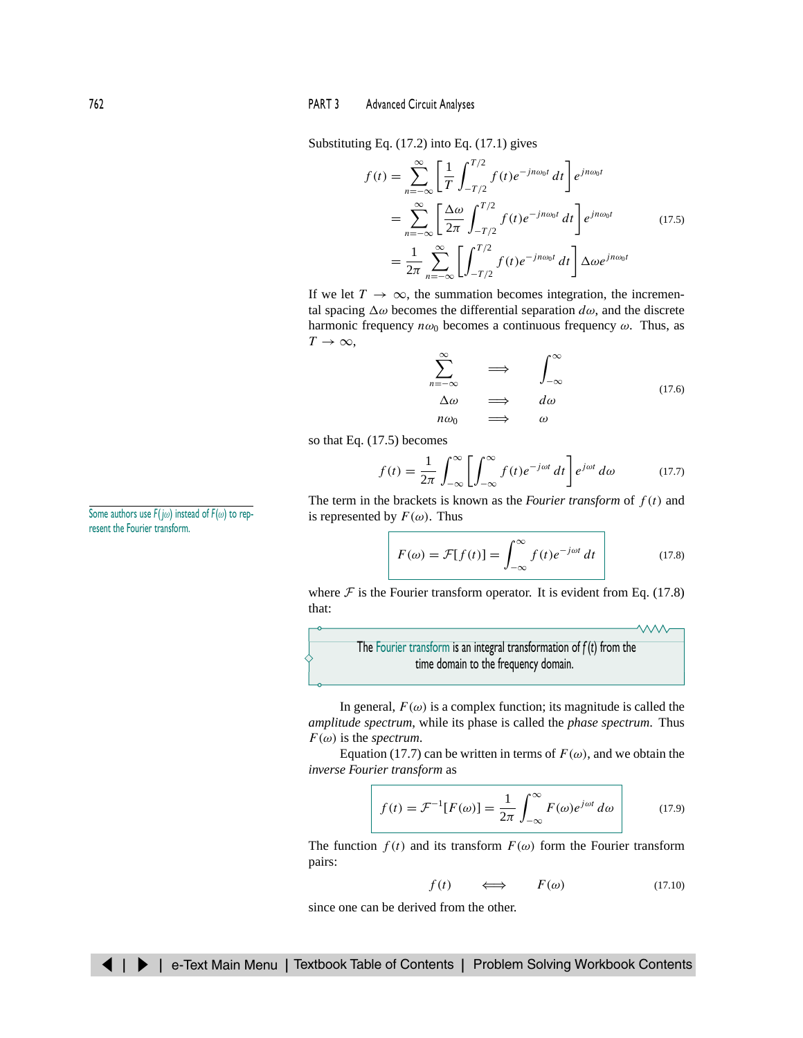<span id="page-3-0"></span>Substituting Eq. (17.2) into Eq. (17.1) gives

$$
f(t) = \sum_{n=-\infty}^{\infty} \left[ \frac{1}{T} \int_{-T/2}^{T/2} f(t) e^{-jn\omega_0 t} dt \right] e^{jn\omega_0 t}
$$
  

$$
= \sum_{n=-\infty}^{\infty} \left[ \frac{\Delta \omega}{2\pi} \int_{-T/2}^{T/2} f(t) e^{-jn\omega_0 t} dt \right] e^{jn\omega_0 t}
$$
  

$$
= \frac{1}{2\pi} \sum_{n=-\infty}^{\infty} \left[ \int_{-T/2}^{T/2} f(t) e^{-jn\omega_0 t} dt \right] \Delta \omega e^{jn\omega_0 t}
$$
 (17.5)

If we let  $T \to \infty$ , the summation becomes integration, the incremental spacing  $\Delta\omega$  becomes the differential separation  $d\omega$ , and the discrete harmonic frequency *nω*<sup>0</sup> becomes a continuous frequency *ω*. Thus, as  $T \rightarrow \infty$ ,

$$
\sum_{n=-\infty}^{\infty} \implies \int_{-\infty}^{\infty}
$$
\n
$$
\Delta \omega \implies d\omega \qquad (17.6)
$$
\n
$$
n\omega_0 \implies \omega
$$

so that Eq. (17.5) becomes

$$
f(t) = \frac{1}{2\pi} \int_{-\infty}^{\infty} \left[ \int_{-\infty}^{\infty} f(t) e^{-j\omega t} dt \right] e^{j\omega t} d\omega \tag{17.7}
$$

The term in the brackets is known as the *Fourier transform* of *f (t)* and is represented by  $F(\omega)$ . Thus

$$
F(\omega) = \mathcal{F}[f(t)] = \int_{-\infty}^{\infty} f(t)e^{-j\omega t} dt
$$
 (17.8)

 $\land\land\land\land$ 

where  $\mathcal F$  is the Fourier transform operator. It is evident from Eq. (17.8) that:

The Fourier transform is an integral transformation of  $f(t)$  from the time domain to the frequency domain.

In general,  $F(\omega)$  is a complex function; its magnitude is called the *amplitude spectrum*, while its phase is called the *phase spectrum*. Thus  $F(\omega)$  is the *spectrum*.

Equation (17.7) can be written in terms of  $F(\omega)$ , and we obtain the *inverse Fourier transform* as

$$
f(t) = \mathcal{F}^{-1}[F(\omega)] = \frac{1}{2\pi} \int_{-\infty}^{\infty} F(\omega) e^{j\omega t} d\omega \qquad (17.9)
$$

The function  $f(t)$  and its transform  $F(\omega)$  form the Fourier transform pairs:

$$
f(t) \qquad \Longleftrightarrow \qquad F(\omega) \tag{17.10}
$$

since one can be derived from the other.

Some authors use  $F(j\omega)$  instead of  $F(\omega)$  to represent the Fourier transform.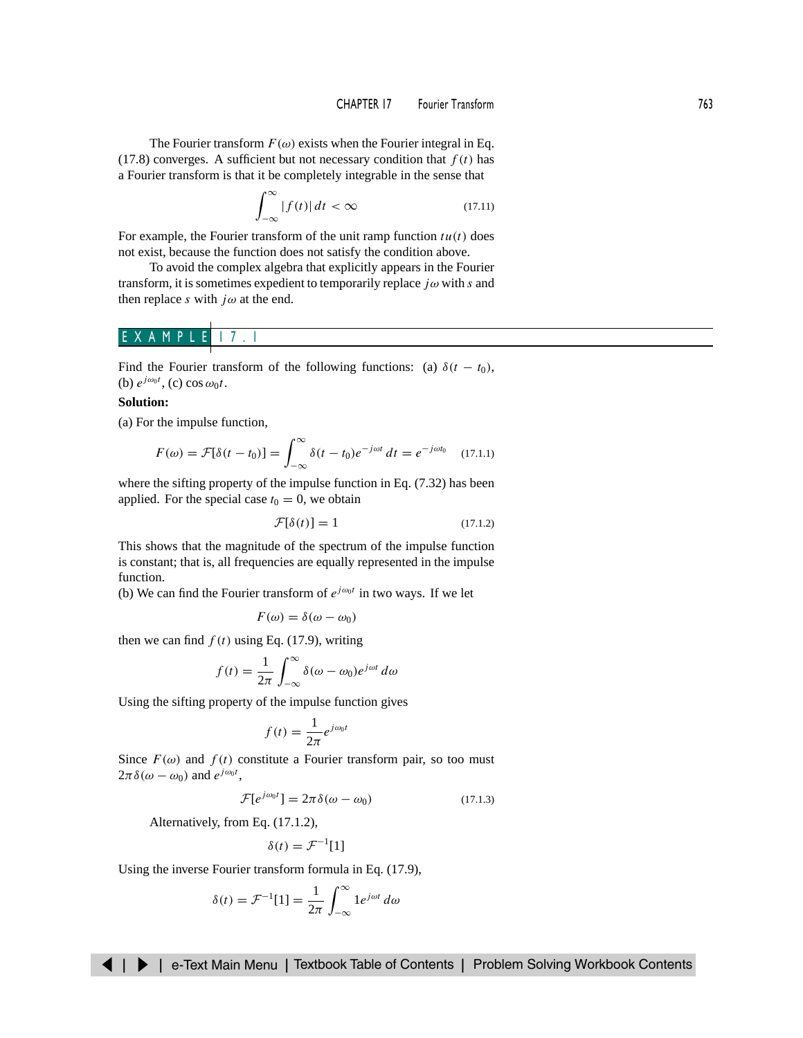<span id="page-4-0"></span>The Fourier transform  $F(\omega)$  exists when the Fourier integral in Eq. (17.8) converges. A sufficient but not necessary condition that  $f(t)$  has a Fourier transform is that it be completely integrable in the sense that

$$
\int_{-\infty}^{\infty} |f(t)| \, dt < \infty \tag{17.11}
$$

For example, the Fourier transform of the unit ramp function  $tu(t)$  does not exist, because the function does not satisfy the condition above.

To avoid the complex algebra that explicitly appears in the Fourier transform, it is sometimes expedient to temporarily replace *jω* with *s* and then replace *s* with  $j\omega$  at the end.

# EXAMPLE 17.1

Find the Fourier transform of the following functions: (a)  $\delta(t - t_0)$ , (b)  $e^{j\omega_0 t}$ , (c) cos  $\omega_0 t$ .

### **Solution:**

(a) For the impulse function,

$$
F(\omega) = \mathcal{F}[\delta(t - t_0)] = \int_{-\infty}^{\infty} \delta(t - t_0) e^{-j\omega t} dt = e^{-j\omega t_0} \quad (17.1.1)
$$

where the sifting property of the impulse function in Eq. (7.32) has been applied. For the special case  $t_0 = 0$ , we obtain

$$
\mathcal{F}[\delta(t)] = 1 \tag{17.1.2}
$$

This shows that the magnitude of the spectrum of the impulse function is constant; that is, all frequencies are equally represented in the impulse function.

(b) We can find the Fourier transform of  $e^{j\omega_0 t}$  in two ways. If we let

$$
F(\omega) = \delta(\omega - \omega_0)
$$

then we can find  $f(t)$  using Eq. (17.9), writing

$$
f(t) = \frac{1}{2\pi} \int_{-\infty}^{\infty} \delta(\omega - \omega_0) e^{j\omega t} d\omega
$$

Using the sifting property of the impulse function gives

$$
f(t) = \frac{1}{2\pi}e^{j\omega_0 t}
$$

Since  $F(\omega)$  and  $f(t)$  constitute a Fourier transform pair, so too must  $2\pi\delta(\omega - \omega_0)$  and  $e^{j\omega_0 t}$ ,

$$
\mathcal{F}[e^{j\omega_0 t}] = 2\pi \delta(\omega - \omega_0)
$$
 (17.1.3)

Alternatively, from Eq. (17.1.2),

$$
\delta(t) = \mathcal{F}^{-1}[1]
$$

Using the inverse Fourier transform formula in Eq. (17.9),

$$
\delta(t) = \mathcal{F}^{-1}[1] = \frac{1}{2\pi} \int_{-\infty}^{\infty} 1 e^{j\omega t} d\omega
$$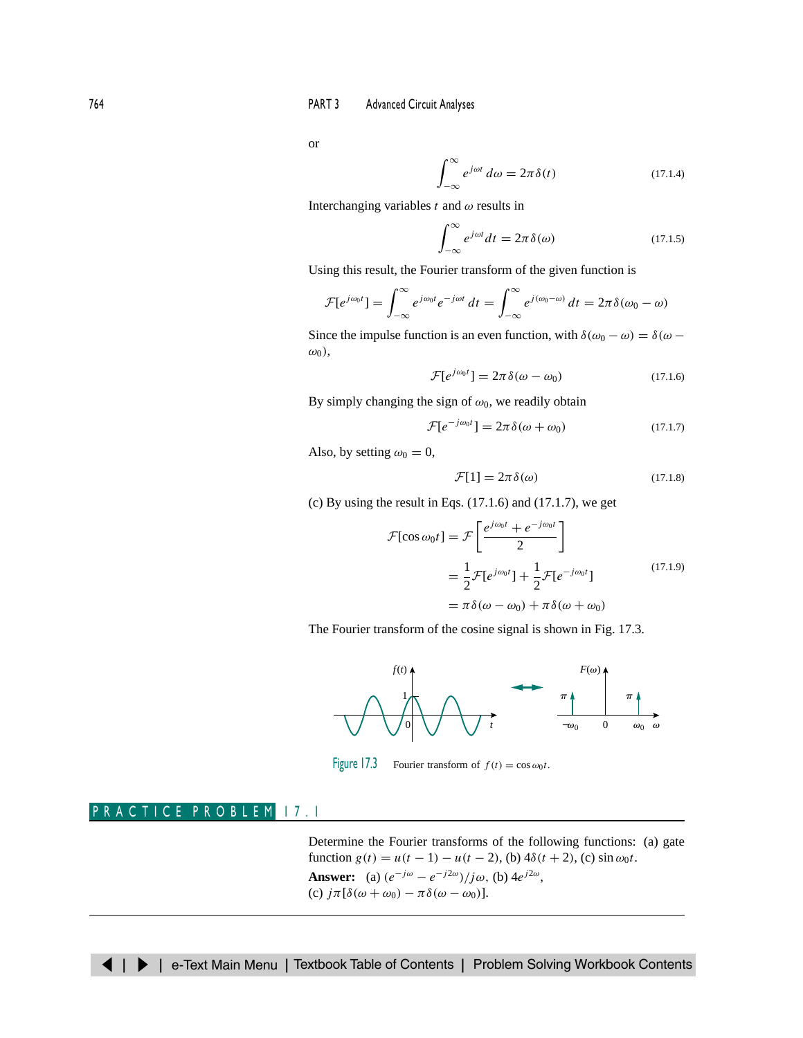<span id="page-5-0"></span>or

$$
\int_{-\infty}^{\infty} e^{j\omega t} d\omega = 2\pi \delta(t)
$$
 (17.1.4)

Interchanging variables *t* and *ω* results in

$$
\int_{-\infty}^{\infty} e^{j\omega t} dt = 2\pi \delta(\omega)
$$
 (17.1.5)

Using this result, the Fourier transform of the given function is

$$
\mathcal{F}[e^{j\omega_0 t}] = \int_{-\infty}^{\infty} e^{j\omega_0 t} e^{-j\omega t} dt = \int_{-\infty}^{\infty} e^{j(\omega_0 - \omega)} dt = 2\pi \delta(\omega_0 - \omega)
$$

Since the impulse function is an even function, with  $\delta(\omega_0 - \omega) = \delta(\omega - \omega)$ *ω*0*)*,

$$
\mathcal{F}[e^{j\omega_0 t}] = 2\pi \delta(\omega - \omega_0)
$$
 (17.1.6)

By simply changing the sign of  $\omega_0$ , we readily obtain

$$
\mathcal{F}[e^{-j\omega_0 t}] = 2\pi \delta(\omega + \omega_0)
$$
 (17.1.7)

Also, by setting  $\omega_0 = 0$ ,

$$
\mathcal{F}[1] = 2\pi \delta(\omega) \tag{17.1.8}
$$

(c) By using the result in Eqs.  $(17.1.6)$  and  $(17.1.7)$ , we get

$$
\mathcal{F}[\cos \omega_0 t] = \mathcal{F} \left[ \frac{e^{j\omega_0 t} + e^{-j\omega_0 t}}{2} \right]
$$

$$
= \frac{1}{2} \mathcal{F} [e^{j\omega_0 t}] + \frac{1}{2} \mathcal{F} [e^{-j\omega_0 t}]
$$

$$
= \pi \delta(\omega - \omega_0) + \pi \delta(\omega + \omega_0)
$$
(17.1.9)

The Fourier transform of the cosine signal is shown in Fig. 17.3.



Figure 17.3 Fourier transform of  $f(t) = \cos \omega_0 t$ .

# PRACTICE PROBLEM 17.1

Determine the Fourier transforms of the following functions: (a) gate  $function g(t) = u(t-1) - u(t-2)$ , (b)  $4\delta(t+2)$ , (c)  $\sin \omega_0 t$ . **Answer:** (a)  $(e^{-j\omega} - e^{-j2\omega})/j\omega$ , (b)  $4e^{j2\omega}$ , (c)  $j\pi[\delta(\omega + \omega_0) - \pi\delta(\omega - \omega_0)].$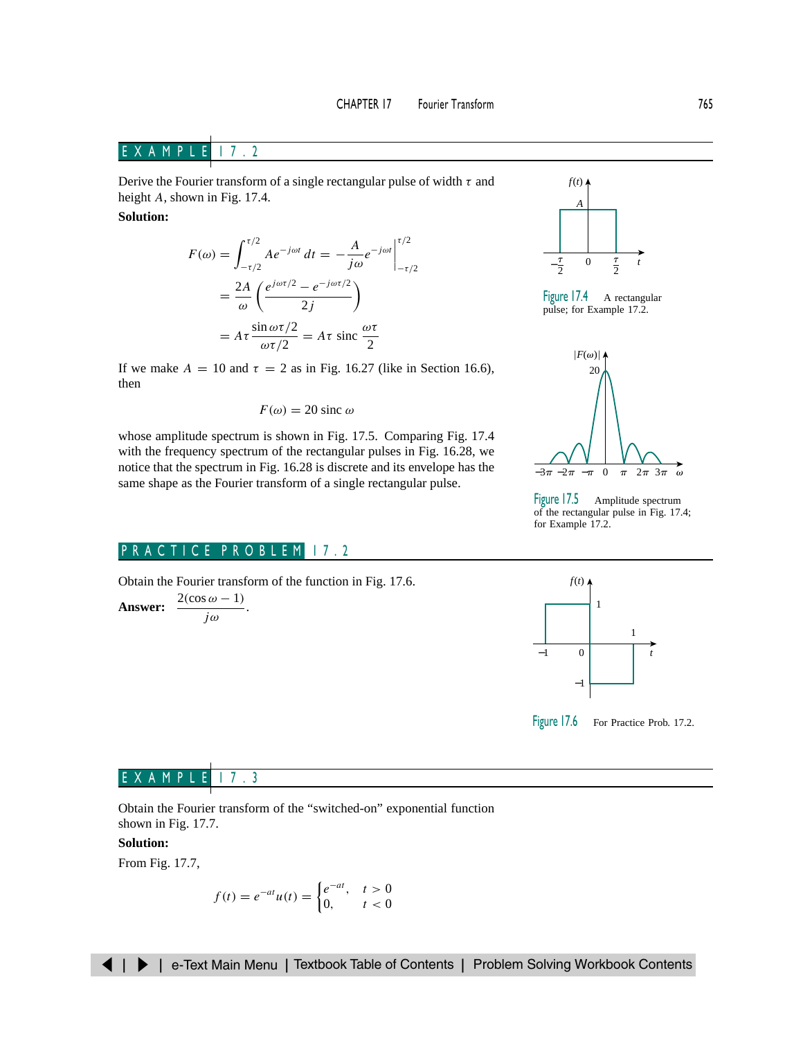# EXAMPLE 17.2

Derive the Fourier transform of a single rectangular pulse of width *τ* and height *A*, shown in Fig. 17.4.

#### **Solution:**

$$
F(\omega) = \int_{-\tau/2}^{\tau/2} Ae^{-j\omega t} dt = -\frac{A}{j\omega}e^{-j\omega t}\Big|_{-\tau/2}^{\tau/2}
$$
  
=  $\frac{2A}{\omega} \left( \frac{e^{j\omega \tau/2} - e^{-j\omega \tau/2}}{2j} \right)$   
=  $A\tau \frac{\sin \omega \tau/2}{\omega \tau/2} = A\tau \text{ sinc } \frac{\omega \tau}{2}$ 

If we make  $A = 10$  and  $\tau = 2$  as in Fig. 16.27 (like in Section 16.6), then

$$
F(\omega) = 20 \text{ sinc } \omega
$$

whose amplitude spectrum is shown in Fig. 17.5. Comparing Fig. 17.4 with the frequency spectrum of the rectangular pulses in Fig. 16.28, we notice that the spectrum in Fig. 16.28 is discrete and its envelope has the notice that the spectrum in Fig. 16.28 is discrete and its envelope has the  $-3\pi - 2\pi - \pi - 0 = \pi - 2\pi - 3\pi - \omega$ <br>same shape as the Fourier transform of a single rectangular pulse.

## PRACTICE PROBLEM 17.2

Obtain the Fourier transform of the function in Fig. 17.6.





Figure  $17.4$  A rectangular pulse; for Example 17.2.



Figure 17.5 Amplitude spectrum of the rectangular pulse in Fig. 17.4; for Example 17.2.



Figure 17.6 For Practice Prob. 17.2.

### EXAMPLE 17.3

Obtain the Fourier transform of the "switched-on" exponential function shown in Fig. 17.7.

#### **Solution:**

From Fig. 17.7,

$$
f(t) = e^{-at}u(t) = \begin{cases} e^{-at}, & t > 0\\ 0, & t < 0 \end{cases}
$$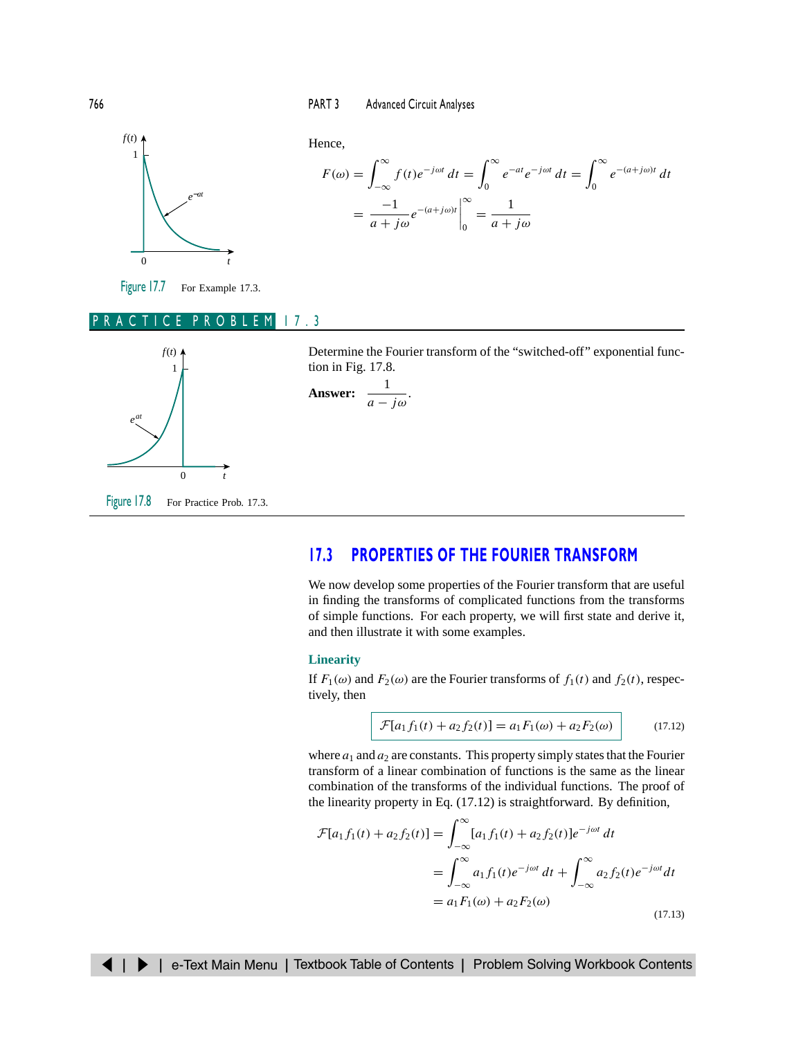Hence,



$$
F(\omega) = \int_{-\infty}^{\infty} f(t)e^{-j\omega t} dt = \int_{0}^{\infty} e^{-at}e^{-j\omega t} dt = \int_{0}^{\infty} e^{-(a+j\omega)t} dt
$$

$$
= \frac{-1}{a+j\omega}e^{-(a+j\omega)t} \Big|_{0}^{\infty} = \frac{1}{a+j\omega}
$$

Figure 17.7 For Example 17.3.

# PRACTICE PROBLEM 17.3



Determine the Fourier transform of the "switched-off" exponential function in Fig. 17.8.

**Answer:** 
$$
\frac{1}{a - j\omega}.
$$

# **17.3 PROPERTIES OF THE FOURIER [TRANSFORM](#page-0-0)**

We now develop some properties of the Fourier transform that are useful in finding the transforms of complicated functions from the transforms of simple functions. For each property, we will first state and derive it, and then illustrate it with some examples.

#### **Linearity**

If  $F_1(\omega)$  and  $F_2(\omega)$  are the Fourier transforms of  $f_1(t)$  and  $f_2(t)$ , respectively, then

$$
\mathcal{F}[a_1 f_1(t) + a_2 f_2(t)] = a_1 F_1(\omega) + a_2 F_2(\omega)
$$
 (17.12)

where  $a_1$  and  $a_2$  are constants. This property simply states that the Fourier transform of a linear combination of functions is the same as the linear combination of the transforms of the individual functions. The proof of the linearity property in Eq. (17.12) is straightforward. By definition,

$$
\mathcal{F}[a_1 f_1(t) + a_2 f_2(t)] = \int_{-\infty}^{\infty} [a_1 f_1(t) + a_2 f_2(t)] e^{-j\omega t} dt
$$
  
= 
$$
\int_{-\infty}^{\infty} a_1 f_1(t) e^{-j\omega t} dt + \int_{-\infty}^{\infty} a_2 f_2(t) e^{-j\omega t} dt
$$
  
= 
$$
a_1 F_1(\omega) + a_2 F_2(\omega)
$$
 (17.13)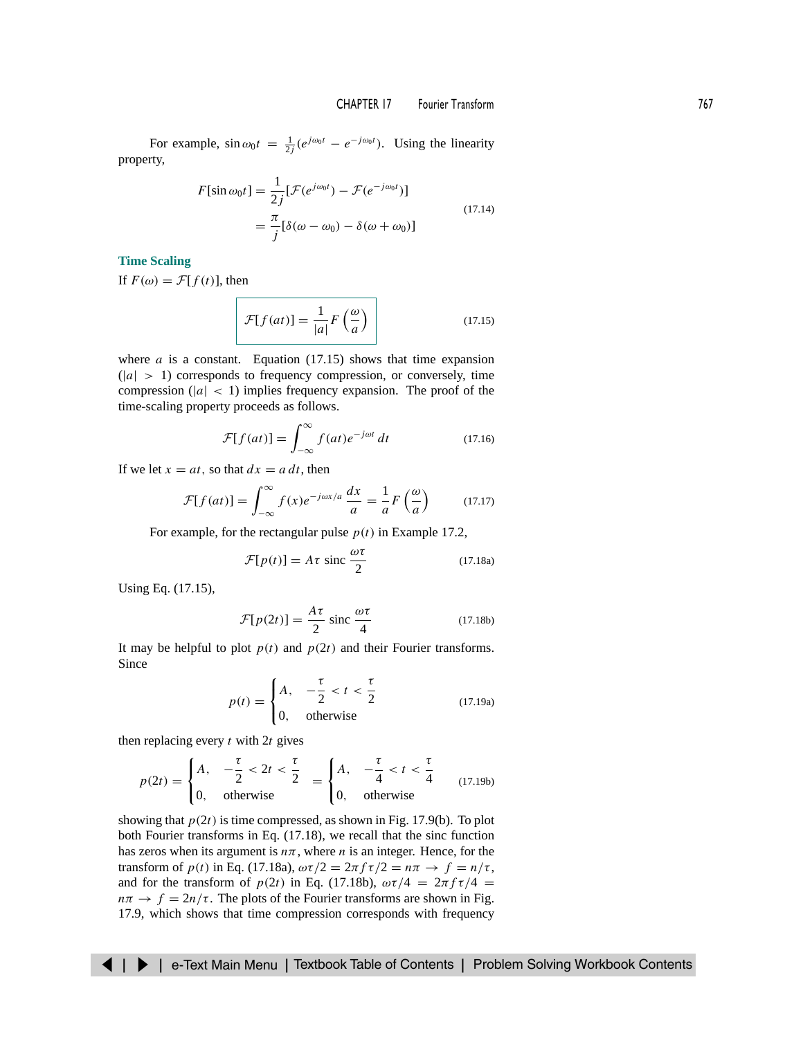For example,  $\sin \omega_0 t = \frac{1}{2j} (e^{j\omega_0 t} - e^{-j\omega_0 t})$ . Using the linearity property,

$$
F[\sin \omega_0 t] = \frac{1}{2j} [\mathcal{F}(e^{j\omega_0 t}) - \mathcal{F}(e^{-j\omega_0 t})]
$$
  
= 
$$
\frac{\pi}{j} [\delta(\omega - \omega_0) - \delta(\omega + \omega_0)]
$$
 (17.14)

#### **Time Scaling**

If  $F(\omega) = \mathcal{F}[f(t)]$ , then

$$
\mathcal{F}[f(at)] = \frac{1}{|a|} F\left(\frac{\omega}{a}\right)
$$
 (17.15)

where  $a$  is a constant. Equation  $(17.15)$  shows that time expansion  $(|a| > 1)$  corresponds to frequency compression, or conversely, time compression  $(|a| < 1)$  implies frequency expansion. The proof of the time-scaling property proceeds as follows.

$$
\mathcal{F}[f(at)] = \int_{-\infty}^{\infty} f(at)e^{-j\omega t} dt
$$
 (17.16)

If we let  $x = at$ , so that  $dx = a dt$ , then

$$
\mathcal{F}[f(at)] = \int_{-\infty}^{\infty} f(x)e^{-j\omega x/a} \frac{dx}{a} = \frac{1}{a}F\left(\frac{\omega}{a}\right)
$$
 (17.17)

For example, for the rectangular pulse  $p(t)$  in Example 17.2,

$$
\mathcal{F}[p(t)] = A\tau \text{ sinc } \frac{\omega \tau}{2}
$$
 (17.18a)

Using Eq. (17.15),

$$
\mathcal{F}[p(2t)] = \frac{A\tau}{2} \operatorname{sinc} \frac{\omega\tau}{4}
$$
 (17.18b)

It may be helpful to plot  $p(t)$  and  $p(2t)$  and their Fourier transforms. Since

$$
p(t) = \begin{cases} A, & -\frac{\tau}{2} < t < \frac{\tau}{2} \\ 0, & \text{otherwise} \end{cases}
$$
 (17.19a)

then replacing every *t* with 2*t* gives

$$
p(2t) = \begin{cases} A, & -\frac{\tau}{2} < 2t < \frac{\tau}{2} \\ 0, & \text{otherwise} \end{cases} = \begin{cases} A, & -\frac{\tau}{4} < t < \frac{\tau}{4} \\ 0, & \text{otherwise} \end{cases} \tag{17.19b}
$$

showing that  $p(2t)$  is time compressed, as shown in Fig. 17.9(b). To plot both Fourier transforms in Eq. (17.18), we recall that the sinc function has zeros when its argument is  $n\pi$ , where *n* is an integer. Hence, for the transform of  $p(t)$  in Eq. (17.18a),  $\omega \tau/2 = 2\pi f \tau/2 = n\pi \rightarrow f = n/\tau$ , and for the transform of  $p(2t)$  in Eq. (17.18b),  $\omega \tau/4 = 2\pi f \tau/4 =$  $n\pi \rightarrow f = 2n/\tau$ . The plots of the Fourier transforms are shown in Fig. 17.9, which shows that time compression corresponds with frequency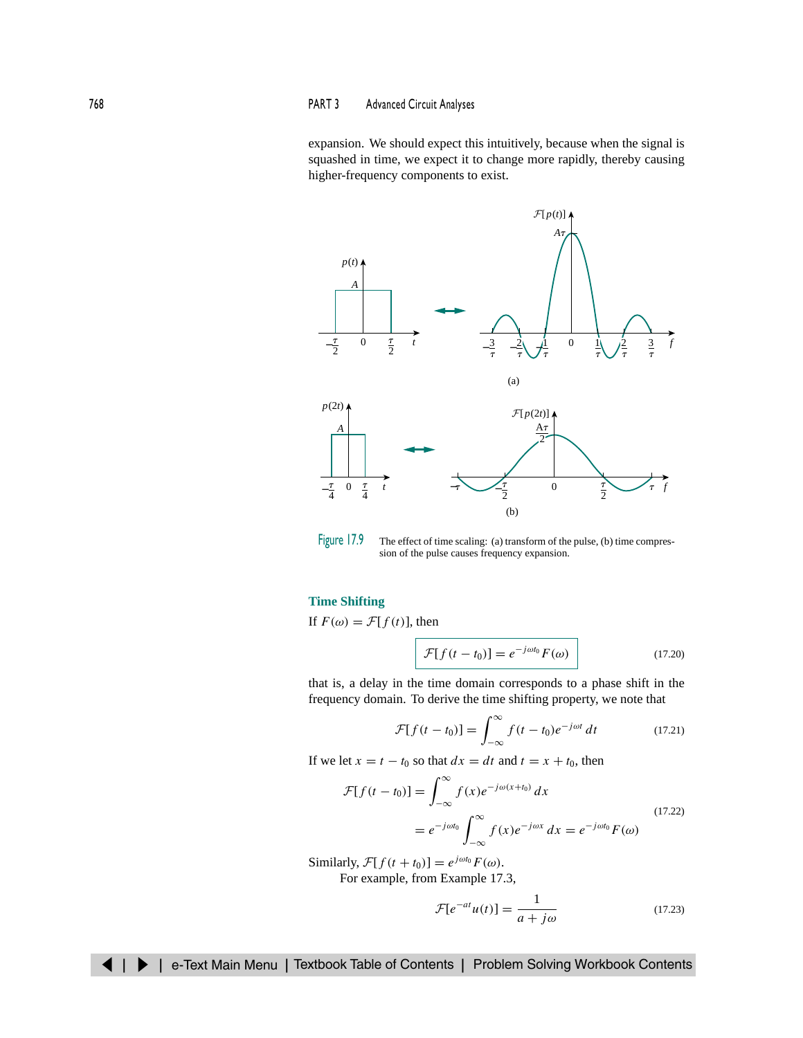expansion. We should expect this intuitively, because when the signal is squashed in time, we expect it to change more rapidly, thereby causing higher-frequency components to exist.





Figure 17.9 The effect of time scaling: (a) transform of the pulse, (b) time compression of the pulse causes frequency expansion.

## **Time Shifting**

If  $F(\omega) = \mathcal{F}[f(t)]$ , then

$$
\mathcal{F}[f(t-t_0)] = e^{-j\omega t_0} F(\omega)
$$
 (17.20)

that is, a delay in the time domain corresponds to a phase shift in the frequency domain. To derive the time shifting property, we note that

$$
\mathcal{F}[f(t-t_0)] = \int_{-\infty}^{\infty} f(t-t_0)e^{-j\omega t} dt
$$
 (17.21)

If we let  $x = t - t_0$  so that  $dx = dt$  and  $t = x + t_0$ , then

$$
\mathcal{F}[f(t-t_0)] = \int_{-\infty}^{\infty} f(x)e^{-j\omega(x+t_0)} dx
$$
  
=  $e^{-j\omega t_0} \int_{-\infty}^{\infty} f(x)e^{-j\omega x} dx = e^{-j\omega t_0} F(\omega)$  (17.22)

Similarly,  $\mathcal{F}[f(t + t_0)] = e^{j\omega t_0} F(\omega)$ . For example, from Example 17.3,

 $\mathcal{F}[e^{-at}u(t)] = \frac{1}{a + j\omega}$  (17.23)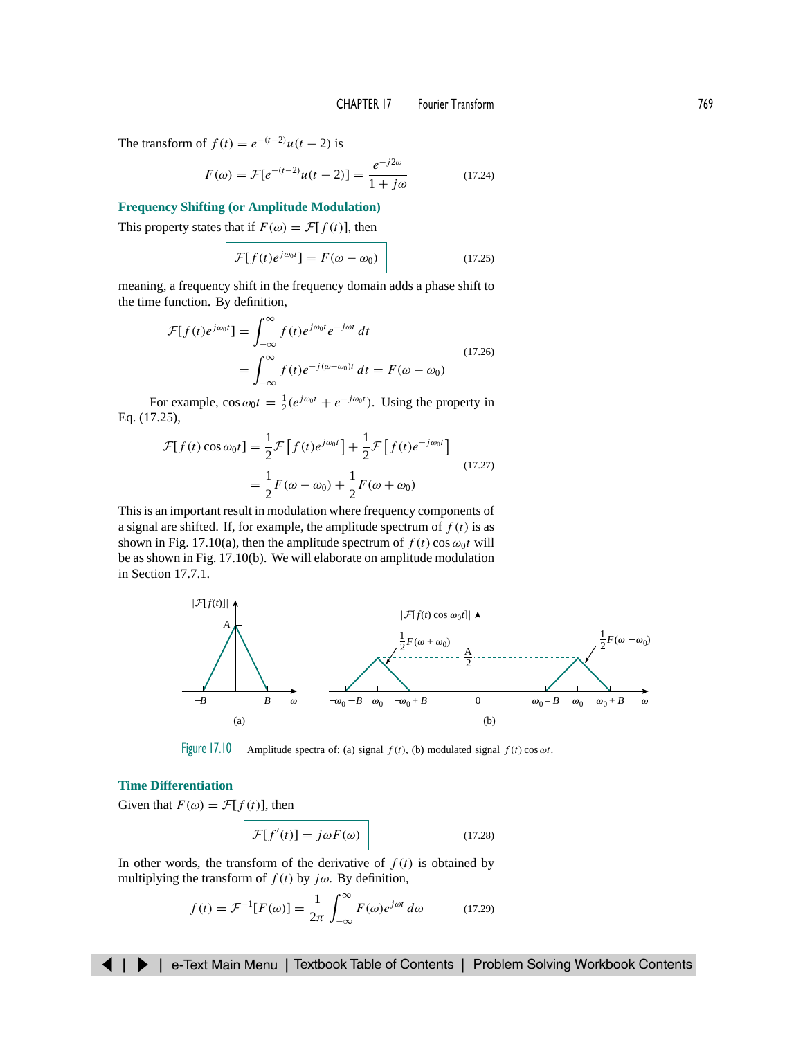The transform of  $f(t) = e^{-(t-2)}u(t-2)$  is

$$
F(\omega) = \mathcal{F}[e^{-(t-2)}u(t-2)] = \frac{e^{-j2\omega}}{1+j\omega}
$$
 (17.24)

#### **Frequency Shifting (or Amplitude Modulation)**

This property states that if  $F(\omega) = \mathcal{F}[f(t)]$ , then

$$
\mathcal{F}[f(t)e^{j\omega_0 t}] = F(\omega - \omega_0)
$$
 (17.25)

meaning, a frequency shift in the frequency domain adds a phase shift to the time function. By definition,

$$
\mathcal{F}[f(t)e^{j\omega_0 t}] = \int_{-\infty}^{\infty} f(t)e^{j\omega_0 t}e^{-j\omega t} dt
$$
  
= 
$$
\int_{-\infty}^{\infty} f(t)e^{-j(\omega-\omega_0)t} dt = F(\omega - \omega_0)
$$
 (17.26)

For example,  $\cos \omega_0 t = \frac{1}{2} (e^{j\omega_0 t} + e^{-j\omega_0 t})$ . Using the property in Eq. (17.25),

$$
\mathcal{F}[f(t)\cos\omega_0 t] = \frac{1}{2}\mathcal{F}[f(t)e^{j\omega_0 t}] + \frac{1}{2}\mathcal{F}[f(t)e^{-j\omega_0 t}]
$$

$$
= \frac{1}{2}F(\omega - \omega_0) + \frac{1}{2}F(\omega + \omega_0)
$$
(17.27)

This is an important result in modulation where frequency components of a signal are shifted. If, for example, the amplitude spectrum of  $f(t)$  is as shown in Fig. 17.10(a), then the amplitude spectrum of  $f(t) \cos \omega_0 t$  will be as shown in Fig. 17.10(b). We will elaborate on amplitude modulation in Section 17.7.1.



Figure 17.10 Amplitude spectra of: (a) signal *f (t)*, (b) modulated signal *f (t)* cos *ωt*.

#### **Time Differentiation**

Given that  $F(\omega) = \mathcal{F}[f(t)]$ , then

$$
\mathcal{F}[f'(t)] = j\omega F(\omega)
$$
 (17.28)

In other words, the transform of the derivative of  $f(t)$  is obtained by multiplying the transform of  $f(t)$  by  $j\omega$ . By definition,

$$
f(t) = \mathcal{F}^{-1}[F(\omega)] = \frac{1}{2\pi} \int_{-\infty}^{\infty} F(\omega)e^{j\omega t} d\omega \qquad (17.29)
$$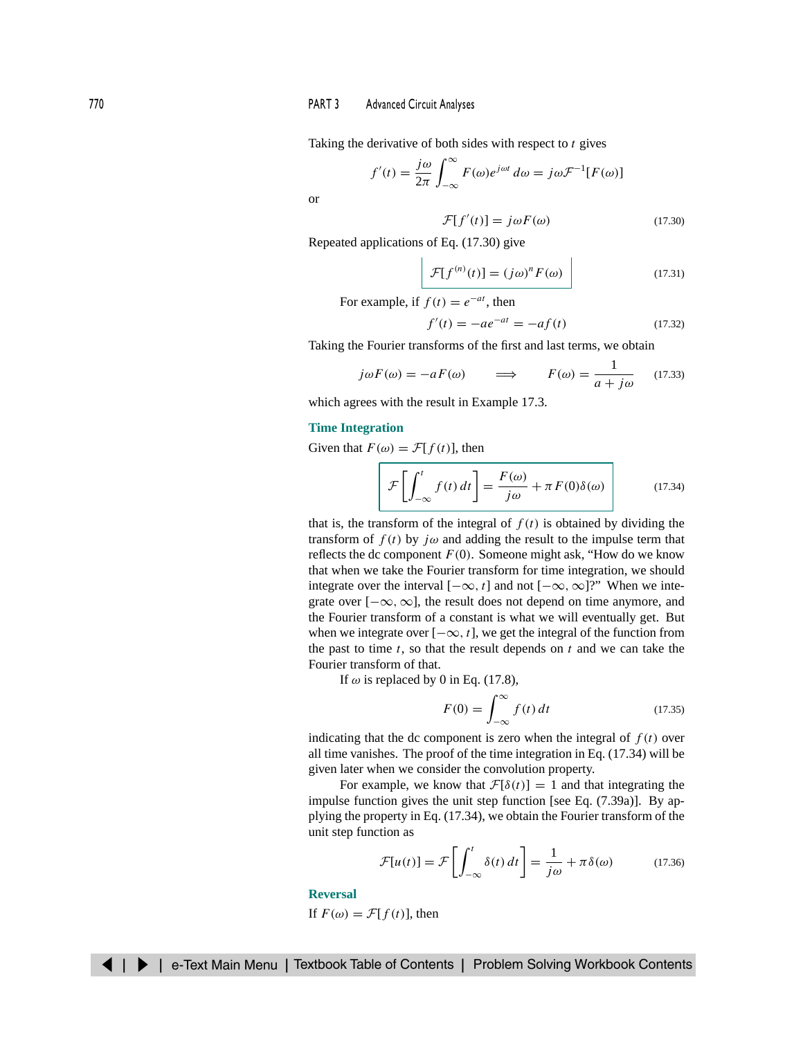Taking the derivative of both sides with respect to *t* gives

$$
f'(t) = \frac{j\omega}{2\pi} \int_{-\infty}^{\infty} F(\omega)e^{j\omega t} d\omega = j\omega \mathcal{F}^{-1}[F(\omega)]
$$

$$
\mathcal{F}[f'(t)] = j\omega F(\omega) \tag{17.30}
$$

Repeated applications of Eq. (17.30) give

$$
\mathcal{F}[f^{(n)}(t)] = (j\omega)^n F(\omega)
$$
 (17.31)

For example, if  $f(t) = e^{-at}$ , then

$$
f'(t) = -ae^{-at} = -af(t)
$$
 (17.32)

Taking the Fourier transforms of the first and last terms, we obtain

$$
j\omega F(\omega) = -aF(\omega)
$$
  $\implies$   $F(\omega) = \frac{1}{a + j\omega}$  (17.33)

which agrees with the result in Example 17.3.

#### **Time Integration**

or

Given that  $F(\omega) = \mathcal{F}[f(t)]$ , then

$$
\mathcal{F}\left[\int_{-\infty}^{t} f(t) dt\right] = \frac{F(\omega)}{j\omega} + \pi F(0)\delta(\omega)
$$
 (17.34)

that is, the transform of the integral of  $f(t)$  is obtained by dividing the transform of  $f(t)$  by  $j\omega$  and adding the result to the impulse term that reflects the dc component  $F(0)$ . Someone might ask, "How do we know that when we take the Fourier transform for time integration, we should integrate over the interval  $[-\infty, t]$  and not  $[-\infty, \infty]$ ?" When we integrate over [−∞*,*∞], the result does not depend on time anymore, and the Fourier transform of a constant is what we will eventually get. But when we integrate over  $[-\infty, t]$ , we get the integral of the function from the past to time *t*, so that the result depends on *t* and we can take the Fourier transform of that.

If  $\omega$  is replaced by 0 in Eq. (17.8),

$$
F(0) = \int_{-\infty}^{\infty} f(t) dt
$$
 (17.35)

indicating that the dc component is zero when the integral of  $f(t)$  over all time vanishes. The proof of the time integration in Eq. (17.34) will be given later when we consider the convolution property.

For example, we know that  $\mathcal{F}[\delta(t)] = 1$  and that integrating the impulse function gives the unit step function [see Eq. (7.39a)]. By applying the property in Eq. (17.34), we obtain the Fourier transform of the unit step function as

$$
\mathcal{F}[u(t)] = \mathcal{F}\left[\int_{-\infty}^{t} \delta(t) dt\right] = \frac{1}{j\omega} + \pi \delta(\omega) \quad (17.36)
$$

**Reversal**

If 
$$
F(\omega) = \mathcal{F}[f(t)]
$$
, then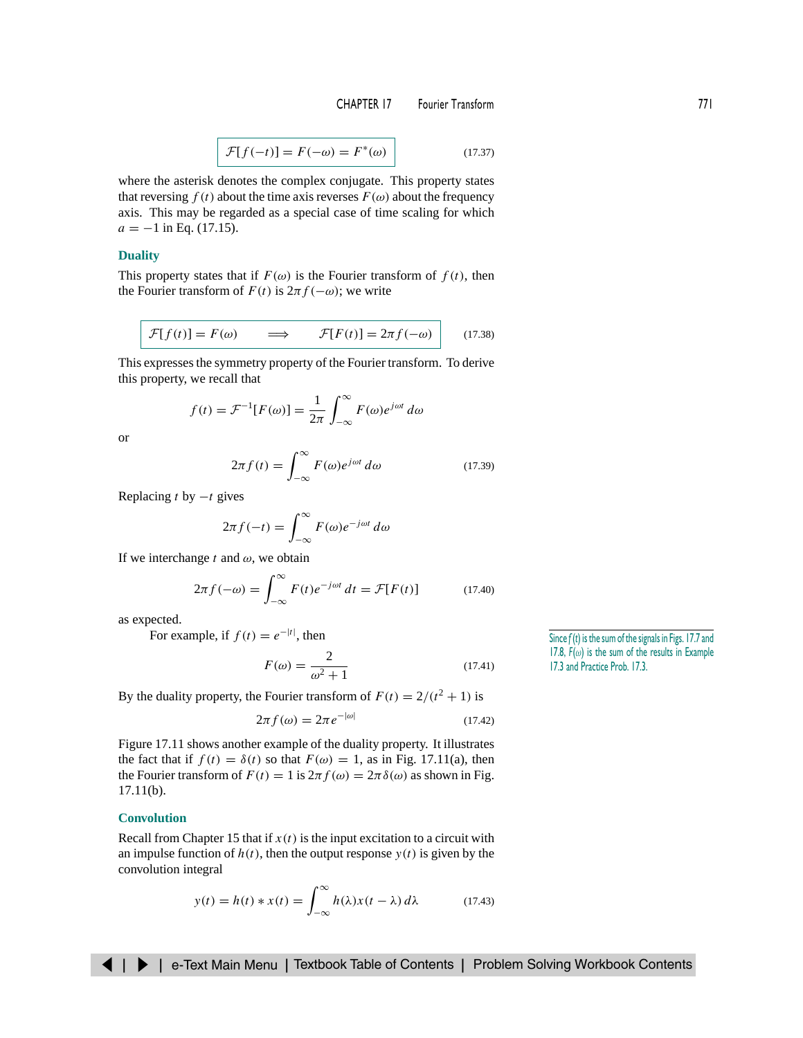$$
\mathcal{F}[f(-t)] = F(-\omega) = F^*(\omega)
$$
 (17.37)

where the asterisk denotes the complex conjugate. This property states that reversing  $f(t)$  about the time axis reverses  $F(\omega)$  about the frequency axis. This may be regarded as a special case of time scaling for which  $a = -1$  in Eq. (17.15).

#### **Duality**

This property states that if  $F(\omega)$  is the Fourier transform of  $f(t)$ , then the Fourier transform of  $F(t)$  is  $2\pi f(-\omega)$ ; we write

$$
\mathcal{F}[f(t)] = F(\omega) \qquad \Longrightarrow \qquad \mathcal{F}[F(t)] = 2\pi f(-\omega) \qquad (17.38)
$$

This expresses the symmetry property of the Fourier transform. To derive this property, we recall that

$$
f(t) = \mathcal{F}^{-1}[F(\omega)] = \frac{1}{2\pi} \int_{-\infty}^{\infty} F(\omega)e^{j\omega t} d\omega
$$

or

$$
2\pi f(t) = \int_{-\infty}^{\infty} F(\omega)e^{j\omega t} d\omega
$$
 (17.39)

Replacing *t* by −*t* gives

$$
2\pi f(-t) = \int_{-\infty}^{\infty} F(\omega) e^{-j\omega t} d\omega
$$

If we interchange *t* and *ω*, we obtain

$$
2\pi f(-\omega) = \int_{-\infty}^{\infty} F(t)e^{-j\omega t} dt = \mathcal{F}[F(t)] \qquad (17.40)
$$

as expected.

For example, if  $f(t) = e^{-|t|}$ , then

$$
F(\omega) = \frac{2}{\omega^2 + 1} \tag{17.41}
$$

By the duality property, the Fourier transform of  $F(t) = 2/(t^2 + 1)$  is

$$
2\pi f(\omega) = 2\pi e^{-|\omega|} \tag{17.42}
$$

Figure 17.11 shows another example of the duality property. It illustrates the fact that if  $f(t) = \delta(t)$  so that  $F(\omega) = 1$ , as in Fig. 17.11(a), then the Fourier transform of  $F(t) = 1$  is  $2\pi f(\omega) = 2\pi \delta(\omega)$  as shown in Fig. 17.11(b).

#### **Convolution**

Recall from Chapter 15 that if  $x(t)$  is the input excitation to a circuit with an impulse function of  $h(t)$ , then the output response  $y(t)$  is given by the convolution integral

$$
y(t) = h(t) * x(t) = \int_{-\infty}^{\infty} h(\lambda) x(t - \lambda) d\lambda
$$
 (17.43)

Since *f* (*t*) is the sum of the signals in Figs. 17.7 and 17.8, *F*(*ω*) is the sum of the results in Example 17.3 and Practice Prob. 17.3.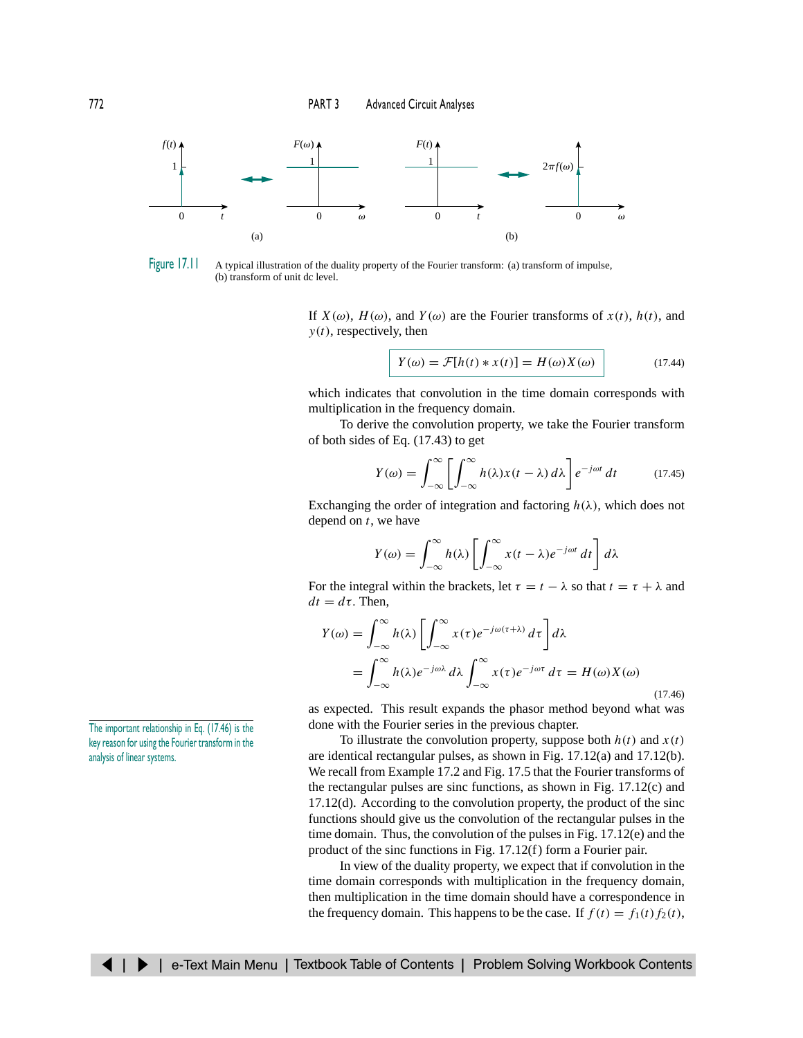

Figure 17.11 A typical illustration of the duality property of the Fourier transform: (a) transform of impulse, (b) transform of unit dc level.

If  $X(\omega)$ ,  $H(\omega)$ , and  $Y(\omega)$  are the Fourier transforms of  $x(t)$ ,  $h(t)$ , and  $y(t)$ , respectively, then

$$
Y(\omega) = \mathcal{F}[h(t) * x(t)] = H(\omega)X(\omega)
$$
 (17.44)

which indicates that convolution in the time domain corresponds with multiplication in the frequency domain.

To derive the convolution property, we take the Fourier transform of both sides of Eq. (17.43) to get

$$
Y(\omega) = \int_{-\infty}^{\infty} \left[ \int_{-\infty}^{\infty} h(\lambda) x(t - \lambda) d\lambda \right] e^{-j\omega t} dt \qquad (17.45)
$$

Exchanging the order of integration and factoring  $h(\lambda)$ , which does not depend on *t*, we have

$$
Y(\omega) = \int_{-\infty}^{\infty} h(\lambda) \left[ \int_{-\infty}^{\infty} x(t - \lambda) e^{-j\omega t} dt \right] d\lambda
$$

For the integral within the brackets, let  $\tau = t - \lambda$  so that  $t = \tau + \lambda$  and  $dt = d\tau$ . Then,

$$
Y(\omega) = \int_{-\infty}^{\infty} h(\lambda) \left[ \int_{-\infty}^{\infty} x(\tau) e^{-j\omega(\tau+\lambda)} d\tau \right] d\lambda
$$
  
= 
$$
\int_{-\infty}^{\infty} h(\lambda) e^{-j\omega\lambda} d\lambda \int_{-\infty}^{\infty} x(\tau) e^{-j\omega\tau} d\tau = H(\omega) X(\omega)
$$
 (17.46)

as expected. This result expands the phasor method beyond what was The important relationship in Eq.  $(17.46)$  is the done with the Fourier series in the previous chapter.

To illustrate the convolution property, suppose both  $h(t)$  and  $x(t)$ are identical rectangular pulses, as shown in Fig. 17.12(a) and 17.12(b). We recall from Example 17.2 and Fig. 17.5 that the Fourier transforms of the rectangular pulses are sinc functions, as shown in Fig. 17.12(c) and 17.12(d). According to the convolution property, the product of the sinc functions should give us the convolution of the rectangular pulses in the time domain. Thus, the convolution of the pulses in Fig. 17.12(e) and the product of the sinc functions in Fig. 17.12(f) form a Fourier pair.

In view of the duality property, we expect that if convolution in the time domain corresponds with multiplication in the frequency domain, then multiplication in the time domain should have a correspondence in the frequency domain. This happens to be the case. If  $f(t) = f_1(t) f_2(t)$ ,

key reason for using the Fourier transform in the analysis of linear systems.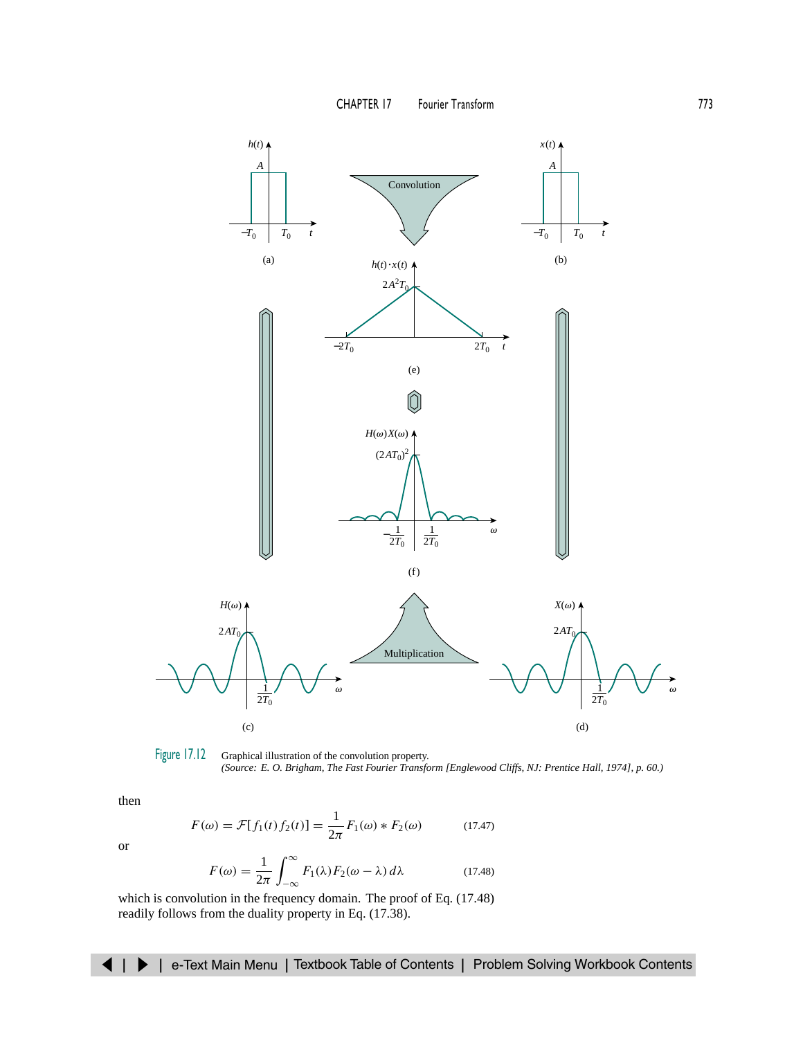



Figure 17.12 Graphical illustration of the convolution property. *(Source: E. O. Brigham, The Fast Fourier Transform [Englewood Cliffs, NJ: Prentice Hall, 1974], p. 60.)*

then

$$
F(\omega) = \mathcal{F}[f_1(t)f_2(t)] = \frac{1}{2\pi}F_1(\omega) * F_2(\omega)
$$
 (17.47)

or

$$
F(\omega) = \frac{1}{2\pi} \int_{-\infty}^{\infty} F_1(\lambda) F_2(\omega - \lambda) d\lambda
$$
 (17.48)

which is convolution in the frequency domain. The proof of Eq. (17.48) readily follows from the duality property in Eq. (17.38).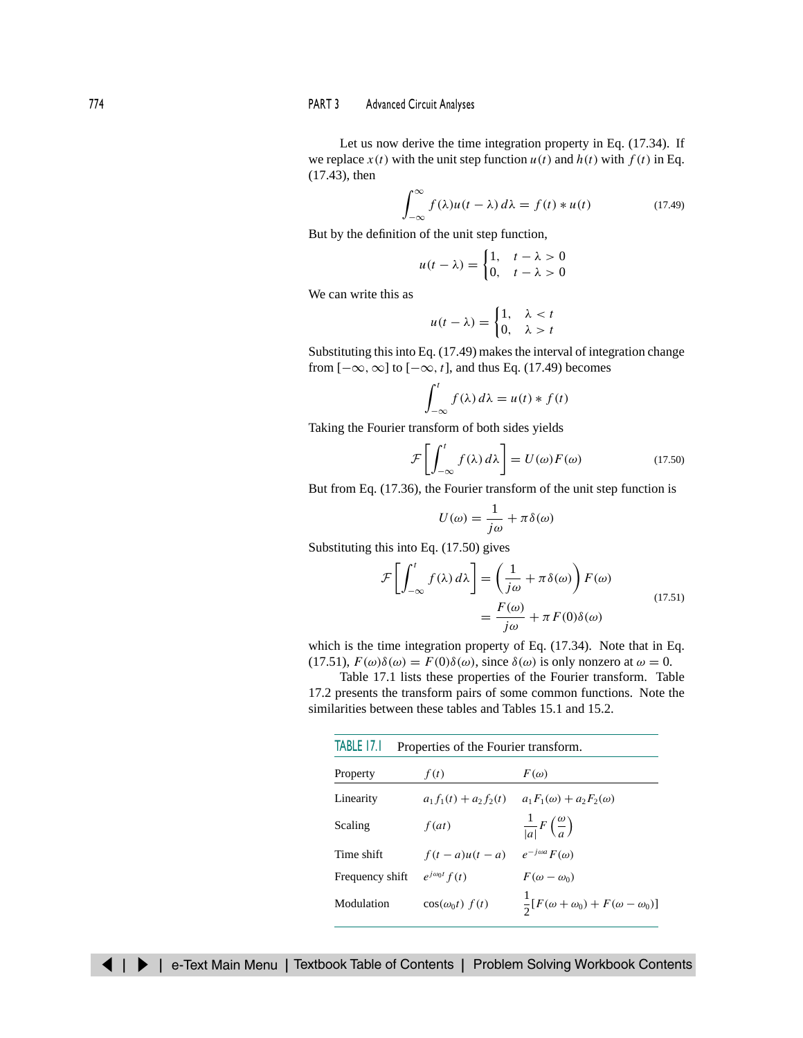Let us now derive the time integration property in Eq. (17.34). If we replace  $x(t)$  with the unit step function  $u(t)$  and  $h(t)$  with  $f(t)$  in Eq. (17.43), then

$$
\int_{-\infty}^{\infty} f(\lambda)u(t-\lambda) d\lambda = f(t) * u(t)
$$
 (17.49)

But by the definition of the unit step function,

$$
u(t - \lambda) = \begin{cases} 1, & t - \lambda > 0 \\ 0, & t - \lambda > 0 \end{cases}
$$

We can write this as

$$
u(t - \lambda) = \begin{cases} 1, & \lambda < t \\ 0, & \lambda > t \end{cases}
$$

Substituting this into Eq. (17.49) makes the interval of integration change from  $[-\infty, \infty]$  to  $[-\infty, t]$ , and thus Eq. (17.49) becomes

$$
\int_{-\infty}^{t} f(\lambda) d\lambda = u(t) * f(t)
$$

Taking the Fourier transform of both sides yields

$$
\mathcal{F}\left[\int_{-\infty}^{t} f(\lambda) d\lambda\right] = U(\omega) F(\omega)
$$
\n(17.50)

But from Eq. (17.36), the Fourier transform of the unit step function is

$$
U(\omega) = \frac{1}{j\omega} + \pi \delta(\omega)
$$

Substituting this into Eq. (17.50) gives

$$
\mathcal{F}\left[\int_{-\infty}^{t} f(\lambda) d\lambda\right] = \left(\frac{1}{j\omega} + \pi \delta(\omega)\right) F(\omega)
$$

$$
= \frac{F(\omega)}{j\omega} + \pi F(0) \delta(\omega)
$$
(17.51)

which is the time integration property of Eq. (17.34). Note that in Eq. (17.51),  $F(\omega)\delta(\omega) = F(0)\delta(\omega)$ , since  $\delta(\omega)$  is only nonzero at  $\omega = 0$ .

Table 17.1 lists these properties of the Fourier transform. Table 17.2 presents the transform pairs of some common functions. Note the similarities between these tables and Tables 15.1 and 15.2.

| TABLE 17.1      | Properties of the Fourier transform. |                                                      |  |  |  |
|-----------------|--------------------------------------|------------------------------------------------------|--|--|--|
| Property        | f(t)                                 | $F(\omega)$                                          |  |  |  |
| Linearity       | $a_1 f_1(t) + a_2 f_2(t)$            | $a_1F_1(\omega)+a_2F_2(\omega)$                      |  |  |  |
| Scaling         | f(at)                                | $\frac{1}{ a }F\left(\frac{\omega}{a}\right)$        |  |  |  |
| Time shift      | $f(t-a)u(t-a)$                       | $e^{-j\omega a}F(\omega)$                            |  |  |  |
| Frequency shift | $e^{j\omega_0 t} f(t)$               | $F(\omega - \omega_0)$                               |  |  |  |
| Modulation      | $cos(\omega_0 t) f(t)$               | $\frac{1}{2}[F(\omega+\omega_0)+F(\omega-\omega_0)]$ |  |  |  |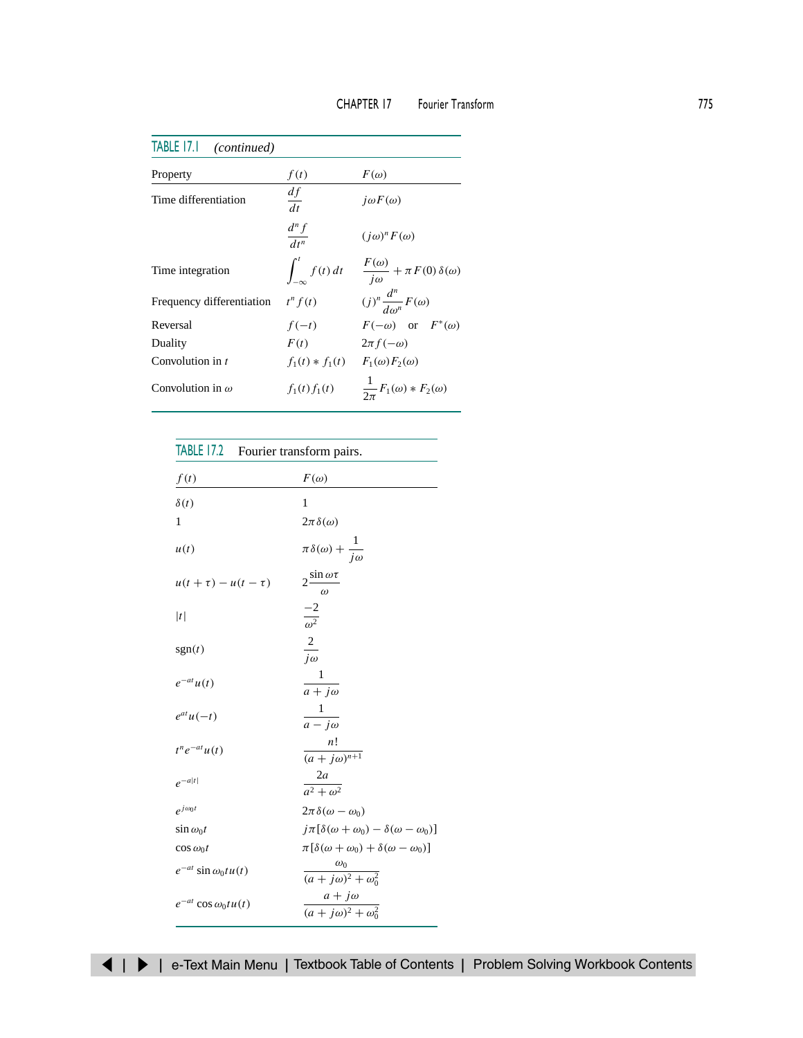| <b>TABLE 17.1</b><br>(continued) |                                   |                                                       |  |
|----------------------------------|-----------------------------------|-------------------------------------------------------|--|
| Property                         | f(t)                              | $F(\omega)$                                           |  |
| Time differentiation             | $\mathfrak{df}$<br>$\frac{d}{dt}$ | $i\omega F(\omega)$                                   |  |
|                                  | $\frac{d^n f}{dt^n}$              | $(j\omega)^n F(\omega)$                               |  |
| Time integration                 | $\int_0^t f(t) dt$                | $\frac{F(\omega)}{i\omega} + \pi F(0) \delta(\omega)$ |  |
| Frequency differentiation        | $t^n f(t)$                        | $(j)^n \frac{d^n}{d\omega^n} F(\omega)$               |  |
| Reversal                         | $f(-t)$                           | $F(-\omega)$ or $F^*(\omega)$                         |  |
| Duality                          | F(t)                              | $2\pi f(-\omega)$                                     |  |
| Convolution in t                 | $f_1(t) * f_1(t)$                 | $F_1(\omega)F_2(\omega)$                              |  |
| Convolution in $\omega$          | $f_1(t) f_1(t)$                   | $\frac{1}{2\pi}F_1(\omega) * F_2(\omega)$             |  |

| TABLE 17.2 Fourier transform pairs. |                                                         |  |  |  |
|-------------------------------------|---------------------------------------------------------|--|--|--|
| f(t)                                | $F(\omega)$                                             |  |  |  |
| $\delta(t)$                         | 1                                                       |  |  |  |
| 1                                   | $2\pi\delta(\omega)$                                    |  |  |  |
| u(t)                                | $\pi \delta(\omega) + \frac{1}{j\omega}$                |  |  |  |
| $u(t+\tau)-u(t-\tau)$               | $2\frac{\sin \omega \tau}{\omega}$                      |  |  |  |
| t                                   | $\frac{-2}{\omega^2}$                                   |  |  |  |
| sgn(t)                              | $rac{2}{i\omega}$                                       |  |  |  |
| $e^{-at}u(t)$                       | $rac{1}{a+j\omega}$                                     |  |  |  |
| $e^{at}u(-t)$                       | $\frac{1}{a - j\omega}$                                 |  |  |  |
| $t^n e^{-at} u(t)$                  | $\frac{n!}{(a+j\omega)^{n+1}}$                          |  |  |  |
| $e^{-a t }$                         | 2a<br>$\overline{a^2+\omega^2}$                         |  |  |  |
| $e^{j\omega_0 t}$                   | $2\pi\delta(\omega-\omega_0)$                           |  |  |  |
| $\sin \omega_0 t$                   | $i\pi[\delta(\omega+\omega_0)-\delta(\omega-\omega_0)]$ |  |  |  |
| $\cos \omega_0 t$                   | $\pi[\delta(\omega+\omega_0)+\delta(\omega-\omega_0)]$  |  |  |  |
| $e^{-at}$ sin $\omega_0 t u(t)$     | $\frac{1}{(a+j\omega)^2+\omega_0^2}$                    |  |  |  |
| $e^{-at}$ cos $\omega_0 t u(t)$     | $\frac{a + j\omega}{(a + j\omega)^2 + \omega_0^2}$      |  |  |  |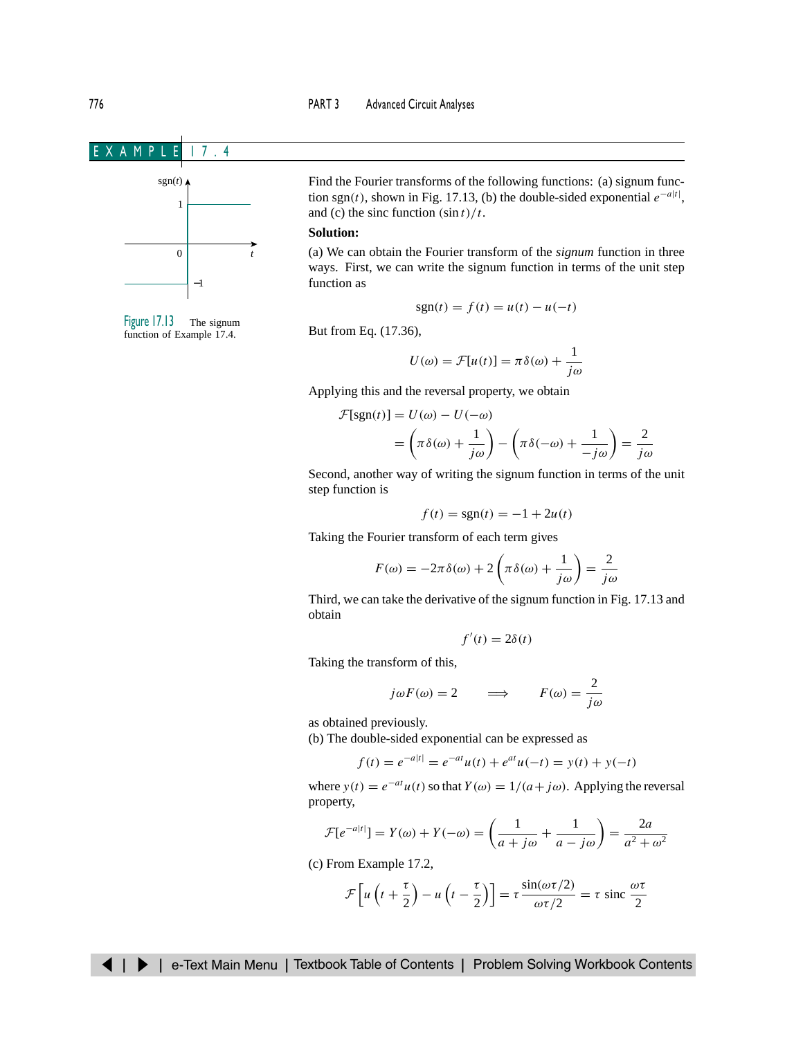

Figure 17.13 The signum function of Example 17.4.

Find the Fourier transforms of the following functions: (a) signum function sgn(*t*), shown in Fig. 17.13, (b) the double-sided exponential  $e^{-a|t|}$ , and *(c)* the sinc function  $(\sin t)/t$ .

## **Solution:**

(a) We can obtain the Fourier transform of the *signum* function in three ways. First, we can write the signum function in terms of the unit step function as

$$
sgn(t) = f(t) = u(t) - u(-t)
$$

But from Eq. (17.36),

$$
U(\omega) = \mathcal{F}[u(t)] = \pi \delta(\omega) + \frac{1}{j\omega}
$$

Applying this and the reversal property, we obtain

$$
\mathcal{F}[sgn(t)] = U(\omega) - U(-\omega)
$$
  
=  $\left(\pi \delta(\omega) + \frac{1}{j\omega}\right) - \left(\pi \delta(-\omega) + \frac{1}{-j\omega}\right) = \frac{2}{j\omega}$ 

Second, another way of writing the signum function in terms of the unit step function is

$$
f(t) = \text{sgn}(t) = -1 + 2u(t)
$$

Taking the Fourier transform of each term gives

$$
F(\omega) = -2\pi \delta(\omega) + 2\left(\pi \delta(\omega) + \frac{1}{j\omega}\right) = \frac{2}{j\omega}
$$

Third, we can take the derivative of the signum function in Fig. 17.13 and obtain

$$
f'(t) = 2\delta(t)
$$

Taking the transform of this,

$$
j\omega F(\omega) = 2
$$
  $\implies$   $F(\omega) = \frac{2}{j\omega}$ 

as obtained previously.

(b) The double-sided exponential can be expressed as

$$
f(t) = e^{-a|t|} = e^{-at}u(t) + e^{at}u(-t) = y(t) + y(-t)
$$

where  $y(t) = e^{-at}u(t)$  so that  $Y(\omega) = 1/(a+j\omega)$ . Applying the reversal property,

$$
\mathcal{F}[e^{-a|t|}] = Y(\omega) + Y(-\omega) = \left(\frac{1}{a+j\omega} + \frac{1}{a-j\omega}\right) = \frac{2a}{a^2 + \omega^2}
$$

(c) From Example 17.2,

$$
\mathcal{F}\left[u\left(t+\frac{\tau}{2}\right)-u\left(t-\frac{\tau}{2}\right)\right]=\tau\frac{\sin(\omega\tau/2)}{\omega\tau/2}=\tau\,\mathrm{sinc}\,\frac{\omega\tau}{2}
$$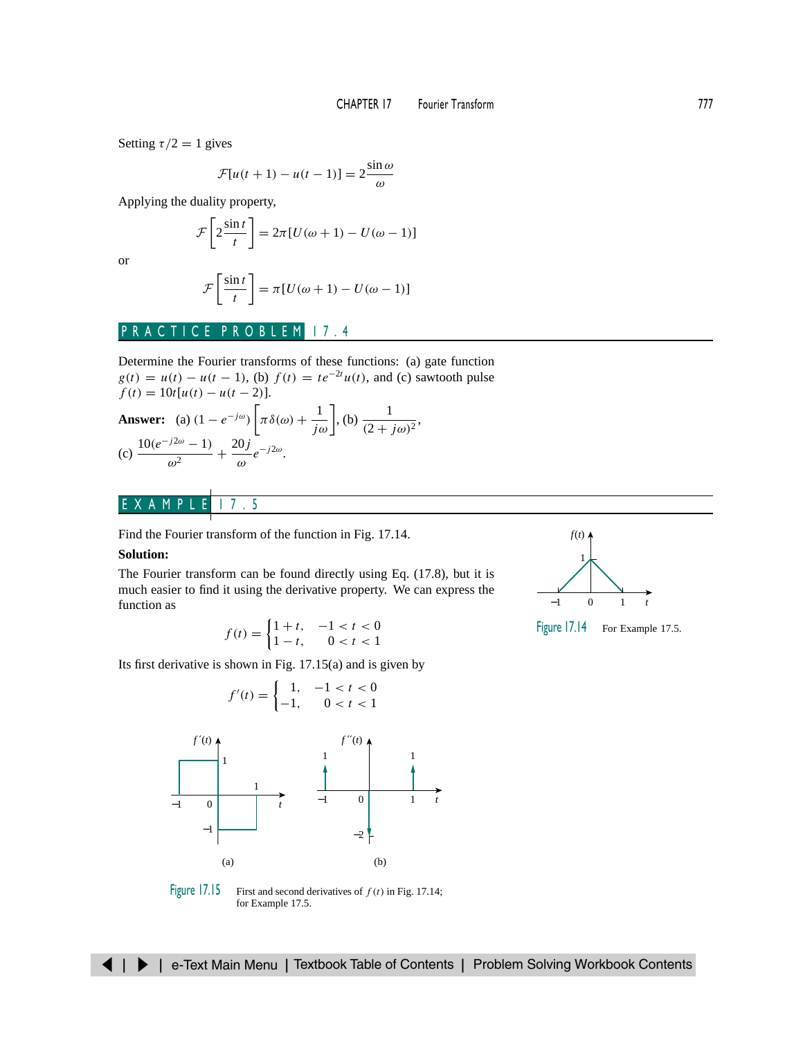Setting  $\tau/2 = 1$  gives

$$
\mathcal{F}[u(t+1) - u(t-1)] = 2\frac{\sin \omega}{\omega}
$$

Applying the duality property,

$$
\mathcal{F}\left[2\frac{\sin t}{t}\right] = 2\pi \left[U(\omega+1) - U(\omega-1)\right]
$$

or

$$
\mathcal{F}\left[\frac{\sin t}{t}\right] = \pi \left[U(\omega + 1) - U(\omega - 1)\right]
$$

## PRACTICE PROBLEM 17.4

Determine the Fourier transforms of these functions: (a) gate function  $g(t) = u(t) - u(t-1)$ , (b)  $f(t) = te^{-2t}u(t)$ , and (c) sawtooth pulse  $f(t) = 10t[u(t) - u(t-2)].$ **Answer:** (a)  $(1 - e^{-j\omega}) \left[ \pi \delta(\omega) + \frac{1}{j\omega} \right]$ , (b)  $\frac{1}{(2 + j\omega)^2}$ , (c)  $\frac{10(e^{-j2\omega} - 1)}{2}$  $\frac{1}{\omega^2}$  + 20*j <sup>ω</sup> <sup>e</sup>*−*j*2*<sup>ω</sup>*.

# EXAMPLE 17.5

Find the Fourier transform of the function in Fig. 17.14. *f*(*t*)

#### **Solution:**

The Fourier transform can be found directly using Eq. (17.8), but it is much easier to find it using the derivative property. We can express the function as

$$
f(t) = \begin{cases} 1+t, & -1 < t < 0 \\ 1-t, & 0 < t < 1 \end{cases}
$$

Its first derivative is shown in Fig.  $17.15(a)$  and is given by

$$
f'(t) = \begin{cases} 1, & -1 < t < 0 \\ -1, & 0 < t < 1 \end{cases}
$$



Figure 17.15 First and second derivatives of *f (t)* in Fig. 17.14; for Example 17.5.



Figure 17.14 For Example 17.5.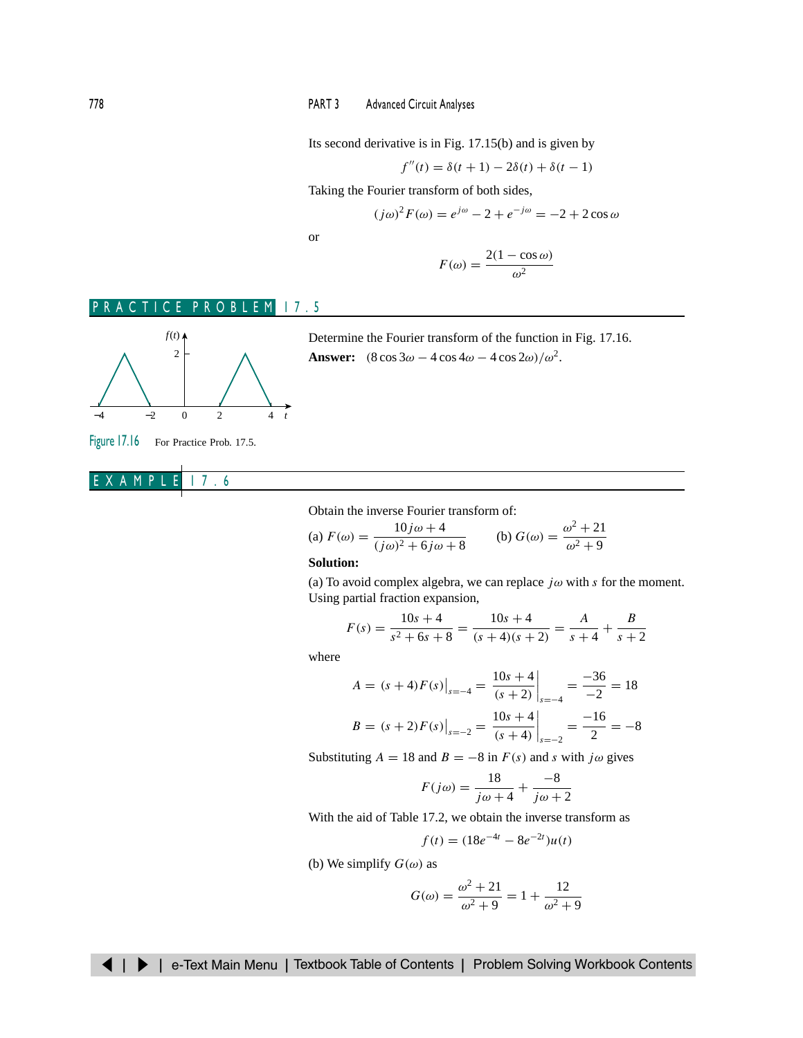Its second derivative is in Fig. 17.15(b) and is given by

$$
f''(t) = \delta(t + 1) - 2\delta(t) + \delta(t - 1)
$$

Taking the Fourier transform of both sides,

$$
(j\omega)^{2} F(\omega) = e^{j\omega} - 2 + e^{-j\omega} = -2 + 2\cos\omega
$$

or

$$
F(\omega) = \frac{2(1 - \cos \omega)}{\omega^2}
$$

# PRACTICE PROBLEM 17.5



Determine the Fourier transform of the function in Fig. 17.16. **Answer:**  $(8 \cos 3\omega - 4 \cos 4\omega - 4 \cos 2\omega)/\omega^2$ .

Figure 17.16 For Practice Prob. 17.5.

EXAMPLE 17.6

Obtain the inverse Fourier transform of:

(a) 
$$
F(\omega) = \frac{10j\omega + 4}{(j\omega)^2 + 6j\omega + 8}
$$
 (b)  $G(\omega) = \frac{\omega^2 + 21}{\omega^2 + 9}$ 

#### **Solution:**

(a) To avoid complex algebra, we can replace  $j\omega$  with *s* for the moment. Using partial fraction expansion,

$$
F(s) = \frac{10s + 4}{s^2 + 6s + 8} = \frac{10s + 4}{(s + 4)(s + 2)} = \frac{A}{s + 4} + \frac{B}{s + 2}
$$

where

$$
A = (s+4)F(s)|_{s=-4} = \frac{10s+4}{(s+2)}|_{s=-4} = \frac{-36}{-2} = 18
$$
  

$$
B = (s+2)F(s)|_{s=-2} = \frac{10s+4}{(s+4)}|_{s=-2} = \frac{-16}{2} = -8
$$

Substituting  $A = 18$  and  $B = -8$  in  $F(s)$  and *s* with  $j\omega$  gives

$$
F(j\omega) = \frac{18}{j\omega + 4} + \frac{-8}{j\omega + 2}
$$

With the aid of Table 17.2, we obtain the inverse transform as

$$
f(t) = (18e^{-4t} - 8e^{-2t})u(t)
$$

(b) We simplify  $G(\omega)$  as

$$
G(\omega) = \frac{\omega^2 + 21}{\omega^2 + 9} = 1 + \frac{12}{\omega^2 + 9}
$$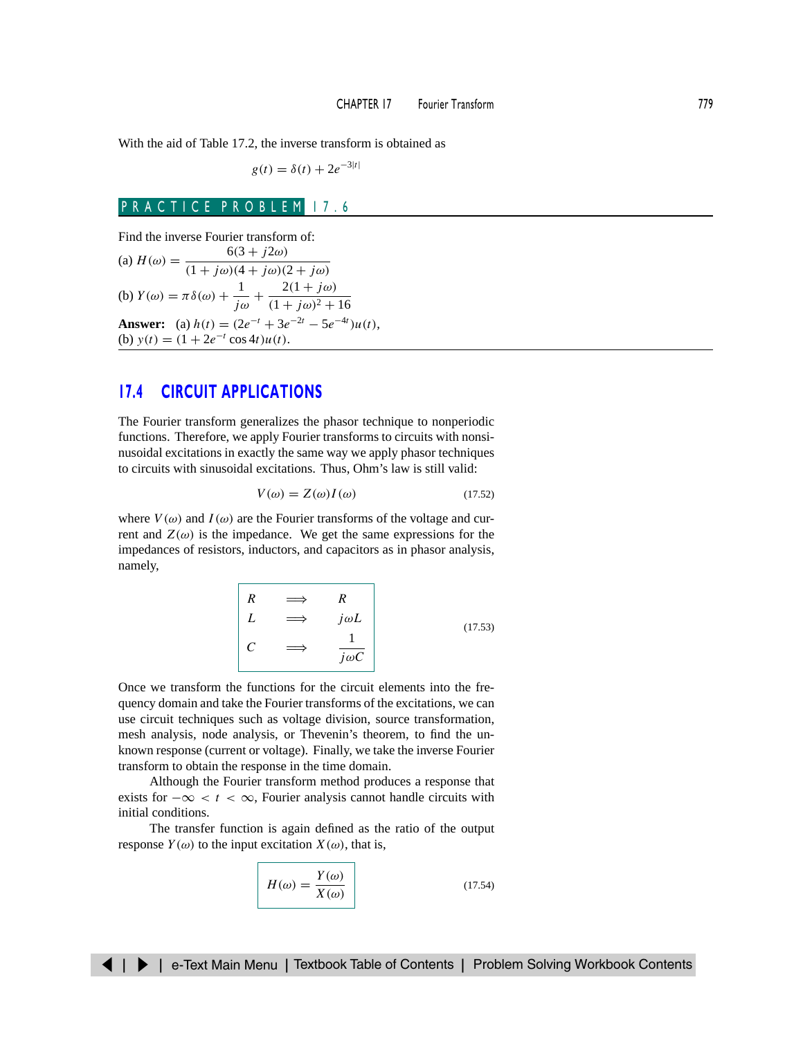With the aid of Table 17.2, the inverse transform is obtained as

$$
g(t) = \delta(t) + 2e^{-3|t|}
$$

## PRACTICE PROBLEM 17.6

Find the inverse Fourier transform of:

(a) 
$$
H(\omega) = \frac{6(3 + j2\omega)}{(1 + j\omega)(4 + j\omega)(2 + j\omega)}
$$
  
\n(b)  $Y(\omega) = \pi \delta(\omega) + \frac{1}{j\omega} + \frac{2(1 + j\omega)}{(1 + j\omega)^2 + 16}$   
\n**Answer:** (a)  $h(t) = (2e^{-t} + 3e^{-2t} - 5e^{-4t})u(t)$ ,  
\n(b)  $y(t) = (1 + 2e^{-t} \cos 4t)u(t)$ .

# **17.4 CIRCUIT [APPLICATIONS](#page-2-0)**

The Fourier transform generalizes the phasor technique to nonperiodic functions. Therefore, we apply Fourier transforms to circuits with nonsinusoidal excitations in exactly the same way we apply phasor techniques to circuits with sinusoidal excitations. Thus, Ohm's law is still valid:

$$
V(\omega) = Z(\omega)I(\omega) \tag{17.52}
$$

where  $V(\omega)$  and  $I(\omega)$  are the Fourier transforms of the voltage and current and  $Z(\omega)$  is the impedance. We get the same expressions for the impedances of resistors, inductors, and capacitors as in phasor analysis, namely,

$$
\begin{array}{ccc}\nR & \Longrightarrow & R \\
L & \Longrightarrow & j\omega L \\
C & \Longrightarrow & \frac{1}{j\omega C}\n\end{array}
$$
\n(17.53)

Once we transform the functions for the circuit elements into the frequency domain and take the Fourier transforms of the excitations, we can use circuit techniques such as voltage division, source transformation, mesh analysis, node analysis, or Thevenin's theorem, to find the unknown response (current or voltage). Finally, we take the inverse Fourier transform to obtain the response in the time domain.

Although the Fourier transform method produces a response that exists for −∞ *<t<* ∞, Fourier analysis cannot handle circuits with initial conditions.

The transfer function is again defined as the ratio of the output response  $Y(\omega)$  to the input excitation  $X(\omega)$ , that is,

$$
H(\omega) = \frac{Y(\omega)}{X(\omega)}
$$
 (17.54)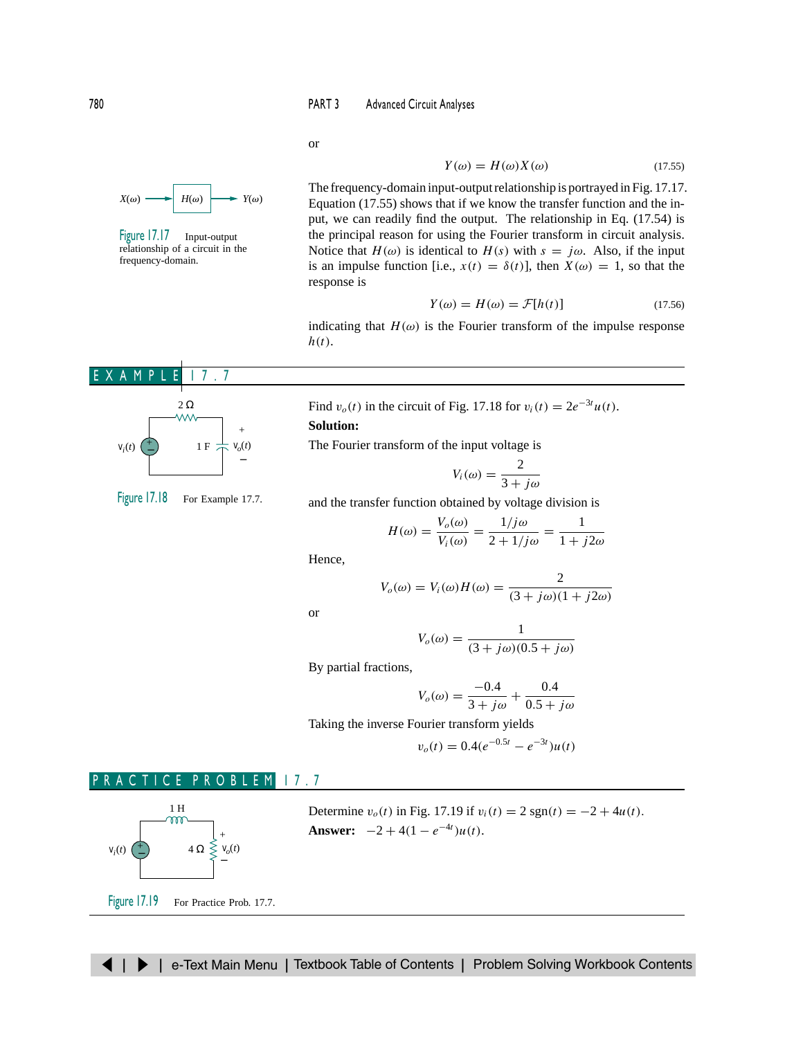or



Figure 17.17 Input-output relationship of a circuit in the frequency-domain.

The frequency-domain input-output relationship is portrayed in Fig. 17.17. Equation (17.55) shows that if we know the transfer function and the input, we can readily find the output. The relationship in Eq. (17.54) is the principal reason for using the Fourier transform in circuit analysis. Notice that  $H(\omega)$  is identical to  $H(s)$  with  $s = j\omega$ . Also, if the input is an impulse function [i.e.,  $x(t) = \delta(t)$ ], then  $X(\omega) = 1$ , so that the response is

$$
Y(\omega) = H(\omega) = \mathcal{F}[h(t)] \tag{17.56}
$$

 $Y(\omega) = H(\omega)X(\omega)$  (17.55)

indicating that  $H(\omega)$  is the Fourier transform of the impulse response *h(t)*.



 $\lim_{h \to 0} v_o(t)$  in the circuit of Fig. 17.18 for  $v_i(t) = 2e^{-3t}u(t)$ .

## **Solution:**

The Fourier transform of the input voltage is

$$
V_i(\omega) = \frac{2}{3 + j\omega}
$$

Figure 17.18 For Example 17.7.

and the transfer function obtained by voltage division is

$$
H(\omega) = \frac{V_o(\omega)}{V_i(\omega)} = \frac{1/j\omega}{2 + 1/j\omega} = \frac{1}{1 + j2\omega}
$$

Hence,

$$
V_o(\omega) = V_i(\omega)H(\omega) = \frac{2}{(3+j\omega)(1+j2\omega)}
$$

or

$$
V_o(\omega) = \frac{1}{(3 + j\omega)(0.5 + j\omega)}
$$

By partial fractions,

$$
V_o(\omega) = \frac{-0.4}{3 + j\omega} + \frac{0.4}{0.5 + j\omega}
$$

Taking the inverse Fourier transform yields

$$
v_o(t) = 0.4(e^{-0.5t} - e^{-3t})u(t)
$$

## PRACTICE PROBLEM 17.7



1H<br>Determine *v<sub>o</sub>*(*t*) in Fig. 17.19 if *v<sub>i</sub>*(*t*) = 2 sgn(*t*) = −2 + 4*u*(*t*). **Answer:**  $-2 + 4(1 - e^{-4t})u(t)$ .

Figure 17.19 For Practice Prob. 17.7.

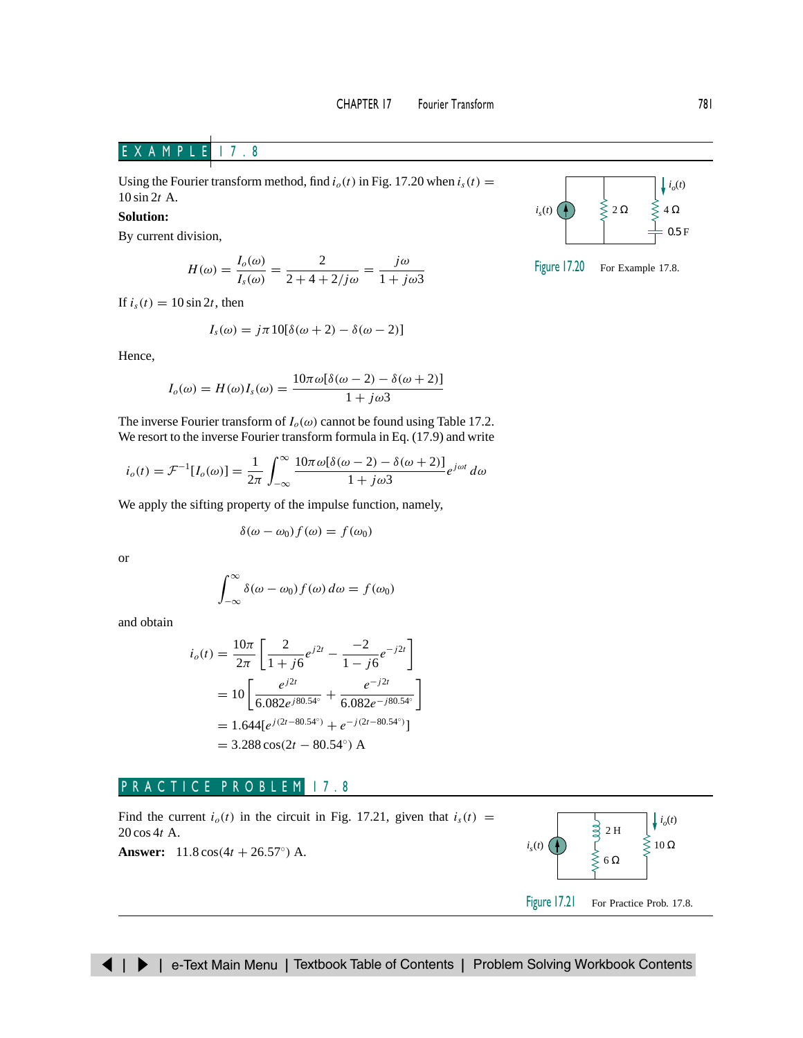# EXAMPLE 17.8

Using the Fourier transform method, find  $i_o(t)$  in Fig. 17.20 when  $i_s(t)$  = 10 sin 2*t* A.

#### **Solution:**

By current division,

$$
H(\omega) = \frac{I_o(\omega)}{I_s(\omega)} = \frac{2}{2 + 4 + 2/j\omega} = \frac{j\omega}{1 + j\omega^2}
$$

If  $i_s(t) = 10 \sin 2t$ , then

$$
I_s(\omega) = j\pi 10[\delta(\omega + 2) - \delta(\omega - 2)]
$$

Hence,

$$
I_o(\omega) = H(\omega)I_s(\omega) = \frac{10\pi\omega[\delta(\omega - 2) - \delta(\omega + 2)]}{1 + j\omega^2}
$$

The inverse Fourier transform of  $I_0(\omega)$  cannot be found using Table 17.2. We resort to the inverse Fourier transform formula in Eq. (17.9) and write

$$
i_o(t) = \mathcal{F}^{-1}[I_o(\omega)] = \frac{1}{2\pi} \int_{-\infty}^{\infty} \frac{10\pi \omega[\delta(\omega - 2) - \delta(\omega + 2)]}{1 + j\omega^2} e^{j\omega t} d\omega
$$

We apply the sifting property of the impulse function, namely,

$$
\delta(\omega - \omega_0) f(\omega) = f(\omega_0)
$$

or

$$
\int_{-\infty}^{\infty} \delta(\omega - \omega_0) f(\omega) d\omega = f(\omega_0)
$$

and obtain

$$
i_o(t) = \frac{10\pi}{2\pi} \left[ \frac{2}{1+j6} e^{j2t} - \frac{-2}{1-j6} e^{-j2t} \right]
$$
  
=  $10 \left[ \frac{e^{j2t}}{6.082e^{j80.54^\circ}} + \frac{e^{-j2t}}{6.082e^{-j80.54^\circ}} \right]$   
=  $1.644[e^{j(2t-80.54^\circ)} + e^{-j(2t-80.54^\circ)}]$   
=  $3.288 \cos(2t - 80.54^\circ)$  A

# PRACTICE PROBLEM 17.8

Find the current  $i_o(t)$  in the circuit in Fig. 17.21, given that  $i_s(t)$  = 20 cos 4*t* A.

**Answer:** 11.8  $\cos(4t + 26.57°)$  A.

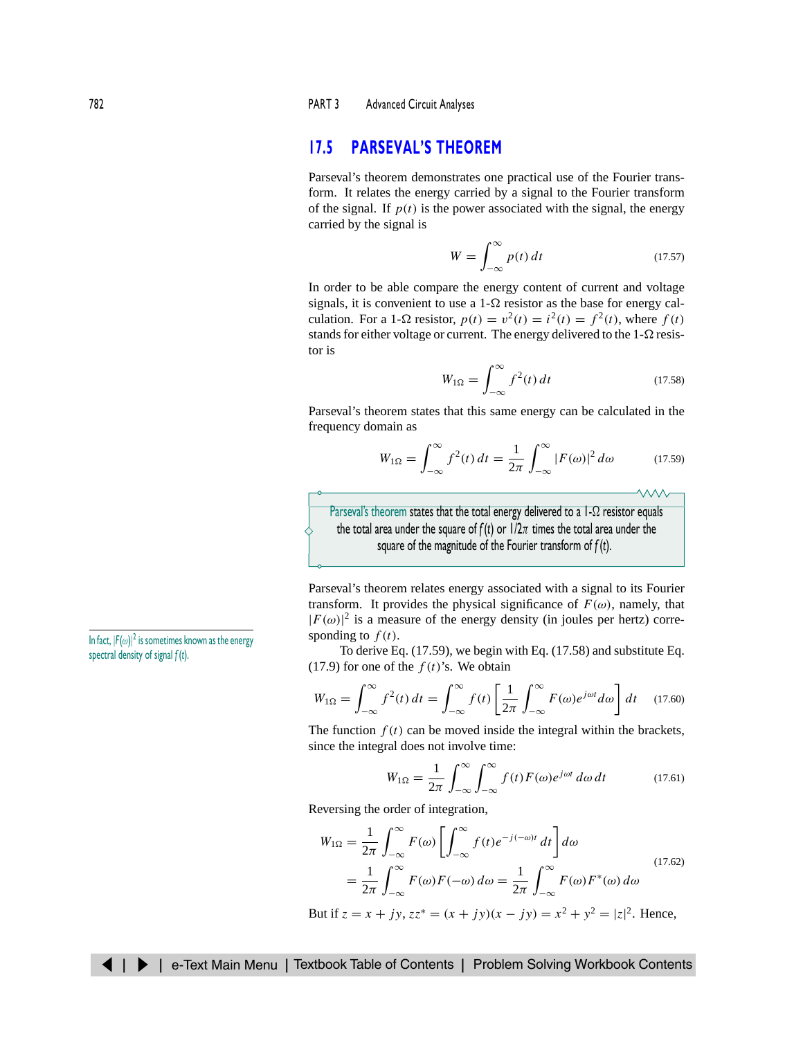# **17.5 [PARSEVAL'S](#page-4-0) THEOREM**

Parseval's theorem demonstrates one practical use of the Fourier transform. It relates the energy carried by a signal to the Fourier transform of the signal. If  $p(t)$  is the power associated with the signal, the energy carried by the signal is

$$
W = \int_{-\infty}^{\infty} p(t) dt
$$
 (17.57)

In order to be able compare the energy content of current and voltage signals, it is convenient to use a  $1-\Omega$  resistor as the base for energy calculation. For a 1- $\Omega$  resistor,  $p(t) = v^2(t) = i^2(t) = f^2(t)$ , where  $f(t)$ stands for either voltage or current. The energy delivered to the  $1-\Omega$  resistor is

$$
W_{1\Omega} = \int_{-\infty}^{\infty} f^2(t) dt
$$
 (17.58)

Parseval's theorem states that this same energy can be calculated in the frequency domain as

$$
W_{1\Omega} = \int_{-\infty}^{\infty} f^2(t) dt = \frac{1}{2\pi} \int_{-\infty}^{\infty} |F(\omega)|^2 d\omega \qquad (17.59)
$$

**WW** 

Parseval's theorem states that the total energy delivered to a 1- $\Omega$  resistor equals the total area under the square of  $f(t)$  or  $1/2\pi$  times the total area under the square of the magnitude of the Fourier transform of *f* (*t*).

Parseval's theorem relates energy associated with a signal to its Fourier transform. It provides the physical significance of  $F(\omega)$ , namely, that  $|F(\omega)|^2$  is a measure of the energy density (in joules per hertz) corre-

spectral density of signal  $f(t)$ . To derive Eq. (17.59), we begin with Eq. (17.58) and substitute Eq. (17.9) for one of the  $f(t)$ 's. We obtain

$$
W_{1\Omega} = \int_{-\infty}^{\infty} f^2(t) dt = \int_{-\infty}^{\infty} f(t) \left[ \frac{1}{2\pi} \int_{-\infty}^{\infty} F(\omega) e^{j\omega t} d\omega \right] dt \quad (17.60)
$$

The function  $f(t)$  can be moved inside the integral within the brackets, since the integral does not involve time:

$$
W_{1\Omega} = \frac{1}{2\pi} \int_{-\infty}^{\infty} \int_{-\infty}^{\infty} f(t) F(\omega) e^{j\omega t} d\omega dt
$$
 (17.61)

Reversing the order of integration,

$$
W_{1\Omega} = \frac{1}{2\pi} \int_{-\infty}^{\infty} F(\omega) \left[ \int_{-\infty}^{\infty} f(t) e^{-j(-\omega)t} dt \right] d\omega
$$
  
\n
$$
= \frac{1}{2\pi} \int_{-\infty}^{\infty} F(\omega) F(-\omega) d\omega = \frac{1}{2\pi} \int_{-\infty}^{\infty} F(\omega) F^*(\omega) d\omega
$$
  
\nBut if  $z = x + jy$ ,  $zz^* = (x + jy)(x - jy) = x^2 + y^2 = |z|^2$ . Hence,

In fact,  $|F(\omega)|^2$  is sometimes known as the energy sponding to  $f(t)$ .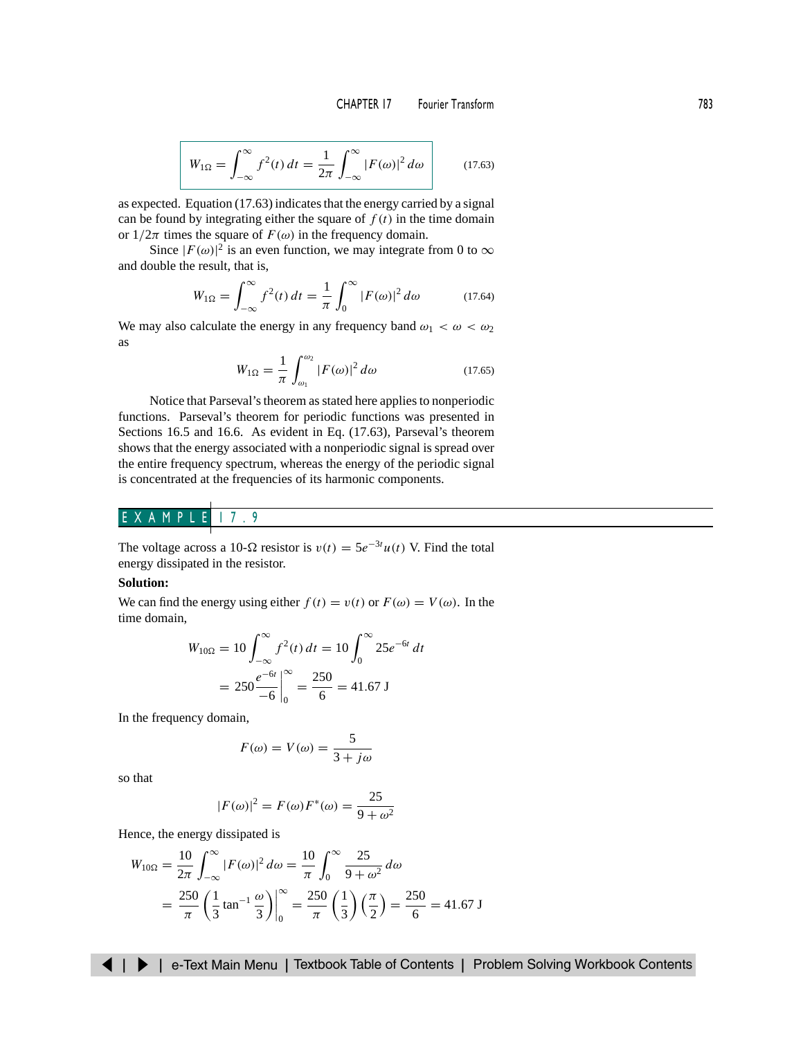$$
W_{1\Omega} = \int_{-\infty}^{\infty} f^2(t) dt = \frac{1}{2\pi} \int_{-\infty}^{\infty} |F(\omega)|^2 d\omega \qquad (17.63)
$$

as expected. Equation (17.63) indicates that the energy carried by a signal can be found by integrating either the square of  $f(t)$  in the time domain or  $1/2\pi$  times the square of  $F(\omega)$  in the frequency domain.

Since  $|F(\omega)|^2$  is an even function, we may integrate from 0 to  $\infty$ and double the result, that is,

$$
W_{1\Omega} = \int_{-\infty}^{\infty} f^2(t) dt = \frac{1}{\pi} \int_{0}^{\infty} |F(\omega)|^2 d\omega \qquad (17.64)
$$

We may also calculate the energy in any frequency band  $\omega_1 < \omega < \omega_2$ as

$$
W_{1\Omega} = \frac{1}{\pi} \int_{\omega_1}^{\omega_2} |F(\omega)|^2 d\omega \qquad (17.65)
$$

Notice that Parseval's theorem as stated here applies to nonperiodic functions. Parseval's theorem for periodic functions was presented in Sections 16.5 and 16.6. As evident in Eq. (17.63), Parseval's theorem shows that the energy associated with a nonperiodic signal is spread over the entire frequency spectrum, whereas the energy of the periodic signal is concentrated at the frequencies of its harmonic components.

# EXAMPLE 17.9

The voltage across a 10- $\Omega$  resistor is  $v(t) = 5e^{-3t}u(t)$  V. Find the total energy dissipated in the resistor.

#### **Solution:**

We can find the energy using either  $f(t) = v(t)$  or  $F(\omega) = V(\omega)$ . In the time domain,

$$
W_{10\Omega} = 10 \int_{-\infty}^{\infty} f^2(t) dt = 10 \int_{0}^{\infty} 25e^{-6t} dt
$$

$$
= 250 \frac{e^{-6t}}{-6} \Big|_{0}^{\infty} = \frac{250}{6} = 41.67 \text{ J}
$$

In the frequency domain,

$$
F(\omega) = V(\omega) = \frac{5}{3 + j\omega}
$$

so that

$$
|F(\omega)|^2 = F(\omega)F^*(\omega) = \frac{25}{9 + \omega^2}
$$

Hence, the energy dissipated is

$$
W_{10\Omega} = \frac{10}{2\pi} \int_{-\infty}^{\infty} |F(\omega)|^2 d\omega = \frac{10}{\pi} \int_{0}^{\infty} \frac{25}{9 + \omega^2} d\omega
$$
  
=  $\frac{250}{\pi} \left(\frac{1}{3} \tan^{-1} \frac{\omega}{3}\right)\Big|_{0}^{\infty} = \frac{250}{\pi} \left(\frac{1}{3}\right) \left(\frac{\pi}{2}\right) = \frac{250}{6} = 41.67 \text{ J}$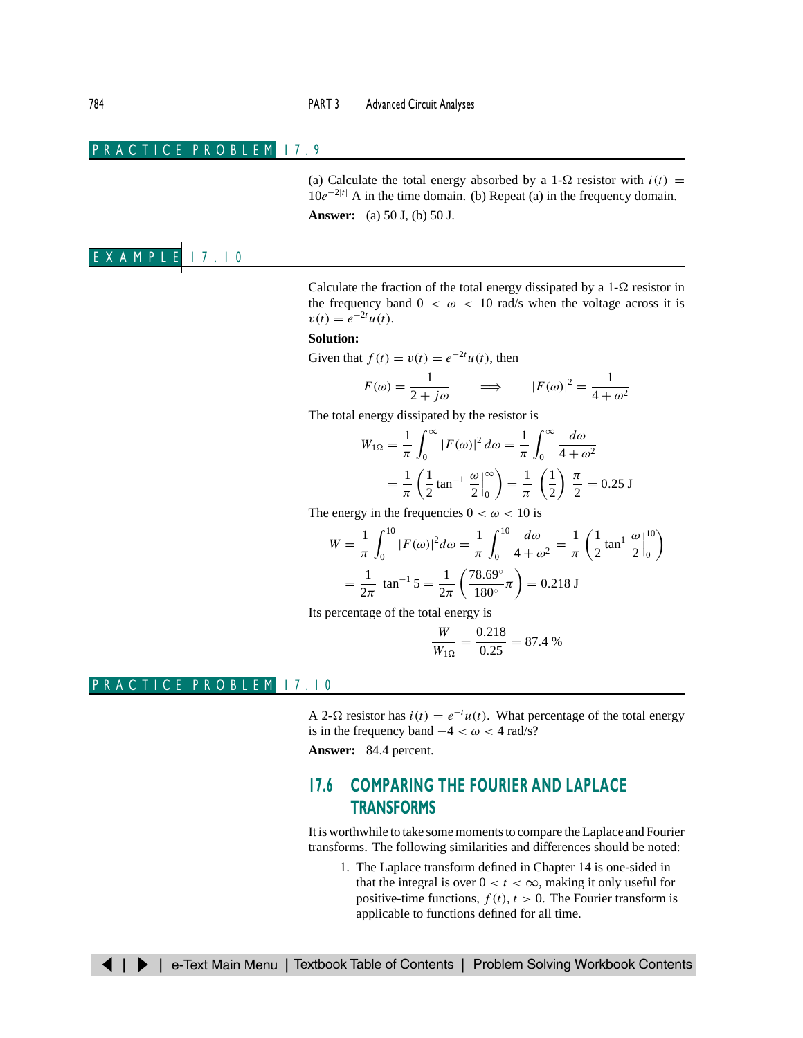## PRACTICE PROBLEM 17.9

(a) Calculate the total energy absorbed by a 1- $\Omega$  resistor with  $i(t)$  =  $10e^{-2|t|}$  A in the time domain. (b) Repeat (a) in the frequency domain. **Answer:** (a) 50 J, (b) 50 J.

| EXAMPLE |  |
|---------|--|
|         |  |

Calculate the fraction of the total energy dissipated by a  $1-\Omega$  resistor in the frequency band  $0 < \omega < 10$  rad/s when the voltage across it is  $v(t) = e^{-2t}u(t).$ 

## **Solution:**

Given that  $f(t) = v(t) = e^{-2t}u(t)$ , then

$$
F(\omega) = \frac{1}{2 + j\omega} \qquad \Longrightarrow \qquad |F(\omega)|^2 = \frac{1}{4 + \omega^2}
$$

The total energy dissipated by the resistor is

$$
W_{1\Omega} = \frac{1}{\pi} \int_0^\infty |F(\omega)|^2 d\omega = \frac{1}{\pi} \int_0^\infty \frac{d\omega}{4 + \omega^2}
$$
  
=  $\frac{1}{\pi} \left( \frac{1}{2} \tan^{-1} \frac{\omega}{2} \Big|_0^\infty \right) = \frac{1}{\pi} \left( \frac{1}{2} \right) \frac{\pi}{2} = 0.25 \text{ J}$ 

The energy in the frequencies  $0 < \omega < 10$  is

$$
W = \frac{1}{\pi} \int_0^{10} |F(\omega)|^2 d\omega = \frac{1}{\pi} \int_0^{10} \frac{d\omega}{4 + \omega^2} = \frac{1}{\pi} \left(\frac{1}{2} \tan^1 \frac{\omega}{2}\Big|_0^{10}\right)
$$

$$
= \frac{1}{2\pi} \tan^{-1} 5 = \frac{1}{2\pi} \left(\frac{78.69^\circ}{180^\circ} \pi\right) = 0.218 \text{ J}
$$

Its percentage of the total energy is

$$
\frac{W}{W_{1\Omega}} = \frac{0.218}{0.25} = 87.4\%
$$

### PRACTICE PROBLEM 17.10

A 2- $\Omega$  resistor has  $i(t) = e^{-t}u(t)$ . What percentage of the total energy is in the frequency band  $-4 < \omega < 4$  rad/s?

**Answer:** 84.4 percent.

# **17.6 COMPARING THE FOURIER AND LAPLACE TRANSFORMS**

It is worthwhile to take some moments to compare the Laplace and Fourier transforms. The following similarities and differences should be noted:

1. The Laplace transform defined in Chapter 14 is one-sided in that the integral is over  $0 < t < \infty$ , making it only useful for positive-time functions,  $f(t)$ ,  $t > 0$ . The Fourier transform is applicable to functions defined for all time.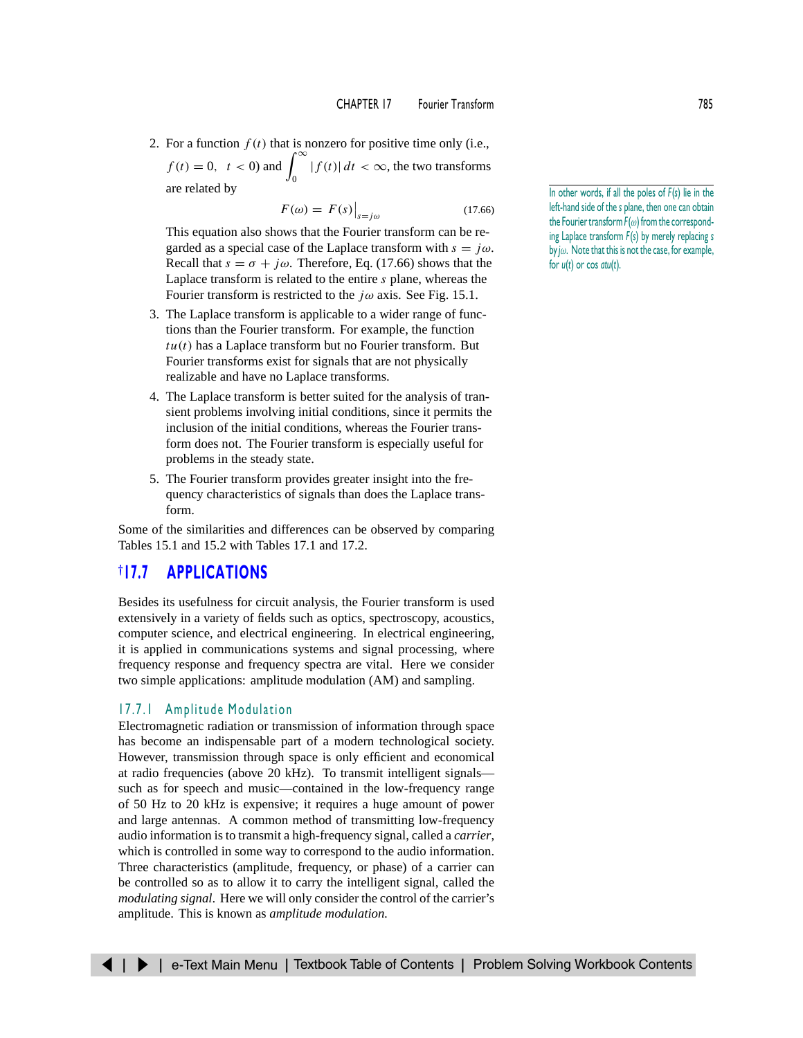2. For a function  $f(t)$  that is nonzero for positive time only (i.e.,  $f(t) = 0$ ,  $t < 0$ ) and  $\int_{0}^{\infty}$  $|f(t)| dt < \infty$ , the two transforms are related by

$$
F(\omega) = F(s)|_{s=j\omega} \tag{17.66}
$$

This equation also shows that the Fourier transform can be regarded as a special case of the Laplace transform with  $s = j\omega$ . Recall that  $s = \sigma + j\omega$ . Therefore, Eq. (17.66) shows that the Laplace transform is related to the entire *s* plane, whereas the Fourier transform is restricted to the *jω* axis. See Fig. 15.1.

- 3. The Laplace transform is applicable to a wider range of functions than the Fourier transform. For example, the function *tu(t)* has a Laplace transform but no Fourier transform. But Fourier transforms exist for signals that are not physically realizable and have no Laplace transforms.
- 4. The Laplace transform is better suited for the analysis of transient problems involving initial conditions, since it permits the inclusion of the initial conditions, whereas the Fourier transform does not. The Fourier transform is especially useful for problems in the steady state.
- 5. The Fourier transform provides greater insight into the frequency characteristics of signals than does the Laplace transform.

Some of the similarities and differences can be observed by comparing Tables 15.1 and 15.2 with Tables 17.1 and 17.2.

# *†***17.7 [APPLICATIONS](#page-5-0)**

Besides its usefulness for circuit analysis, the Fourier transform is used extensively in a variety of fields such as optics, spectroscopy, acoustics, computer science, and electrical engineering. In electrical engineering, it is applied in communications systems and signal processing, where frequency response and frequency spectra are vital. Here we consider two simple applications: amplitude modulation (AM) and sampling.

### 17.7.1 Amplitude Modulation

Electromagnetic radiation or transmission of information through space has become an indispensable part of a modern technological society. However, transmission through space is only efficient and economical at radio frequencies (above 20 kHz). To transmit intelligent signals such as for speech and music—contained in the low-frequency range of 50 Hz to 20 kHz is expensive; it requires a huge amount of power and large antennas. A common method of transmitting low-frequency audio information is to transmit a high-frequency signal, called a *carrier*, which is controlled in some way to correspond to the audio information. Three characteristics (amplitude, frequency, or phase) of a carrier can be controlled so as to allow it to carry the intelligent signal, called the *modulating signal*. Here we will only consider the control of the carrier's amplitude. This is known as *amplitude modulation.*

In other words, if all the poles of *F*(*s*) lie in the left-hand side of the *s* plane, then one can obtain the Fourier transform *F*(*ω*) from the corresponding Laplace transform *F*(*s*) by merely replacing *s* by *jω*. Note that this is not the case, for example, for *u*(*t*) or cos *atu*(*t*).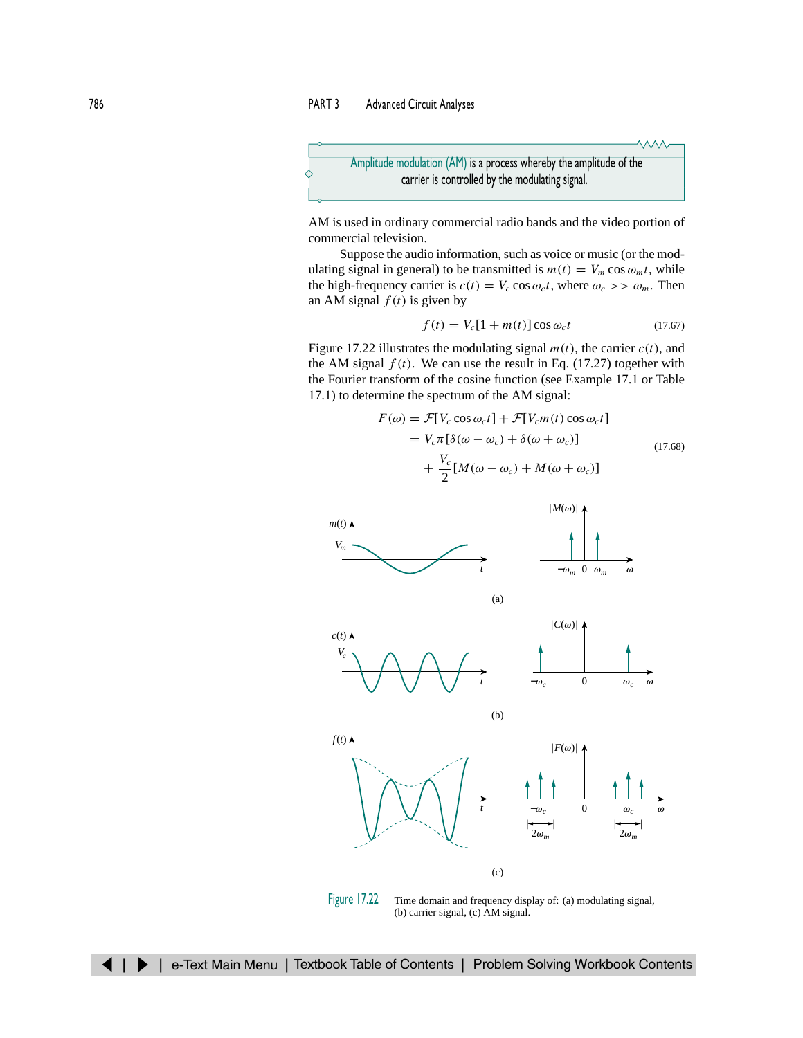Amplitude modulation (AM) is a process whereby the amplitude of the carrier is controlled by the modulating signal.

AM is used in ordinary commercial radio bands and the video portion of commercial television.

Suppose the audio information, such as voice or music (or the modulating signal in general) to be transmitted is  $m(t) = V_m \cos \omega_m t$ , while the high-frequency carrier is  $c(t) = V_c \cos \omega_c t$ , where  $\omega_c >> \omega_m$ . Then an AM signal  $f(t)$  is given by

$$
f(t) = V_c[1 + m(t)]\cos\omega_c t \tag{17.67}
$$

 $\Lambda\Lambda\Lambda$ 

Figure 17.22 illustrates the modulating signal  $m(t)$ , the carrier  $c(t)$ , and the AM signal  $f(t)$ . We can use the result in Eq. (17.27) together with the Fourier transform of the cosine function (see Example 17.1 or Table 17.1) to determine the spectrum of the AM signal:

$$
F(\omega) = \mathcal{F}[V_c \cos \omega_c t] + \mathcal{F}[V_c m(t) \cos \omega_c t]
$$
  
=  $V_c \pi [\delta(\omega - \omega_c) + \delta(\omega + \omega_c)]$   
+  $\frac{V_c}{2} [M(\omega - \omega_c) + M(\omega + \omega_c)]$  (17.68)



Figure 17.22 Time domain and frequency display of: (a) modulating signal, (b) carrier signal, (c) AM signal.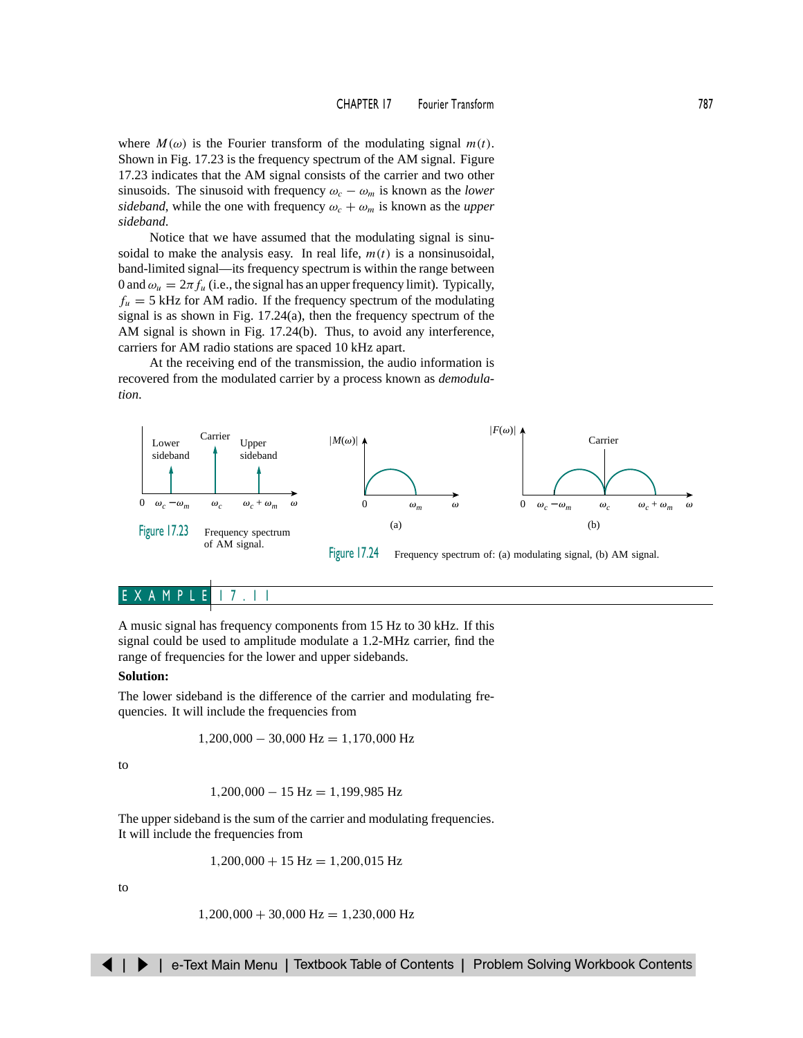where  $M(\omega)$  is the Fourier transform of the modulating signal  $m(t)$ . Shown in Fig. 17.23 is the frequency spectrum of the AM signal. Figure 17.23 indicates that the AM signal consists of the carrier and two other sinusoids. The sinusoid with frequency  $\omega_c - \omega_m$  is known as the *lower sideband*, while the one with frequency  $\omega_c + \omega_m$  is known as the *upper sideband*.

Notice that we have assumed that the modulating signal is sinusoidal to make the analysis easy. In real life,  $m(t)$  is a nonsinusoidal, band-limited signal—its frequency spectrum is within the range between 0 and  $\omega_u = 2\pi f_u$  (i.e., the signal has an upper frequency limit). Typically,  $f_u = 5$  kHz for AM radio. If the frequency spectrum of the modulating signal is as shown in Fig. 17.24(a), then the frequency spectrum of the AM signal is shown in Fig. 17.24(b). Thus, to avoid any interference, carriers for AM radio stations are spaced 10 kHz apart.

At the receiving end of the transmission, the audio information is recovered from the modulated carrier by a process known as *demodulation*.



# E X A M

A music signal has frequency components from 15 Hz to 30 kHz. If this signal could be used to amplitude modulate a 1.2-MHz carrier, find the range of frequencies for the lower and upper sidebands.

#### **Solution:**

The lower sideband is the difference of the carrier and modulating frequencies. It will include the frequencies from

$$
1,200,000 - 30,000 \text{ Hz} = 1,170,000 \text{ Hz}
$$

to

$$
1,200,000 - 15 \text{ Hz} = 1,199,985 \text{ Hz}
$$

The upper sideband is the sum of the carrier and modulating frequencies. It will include the frequencies from

$$
1,200,000 + 15 \text{ Hz} = 1,200,015 \text{ Hz}
$$

to

$$
1,200,000 + 30,000 \text{ Hz} = 1,230,000 \text{ Hz}
$$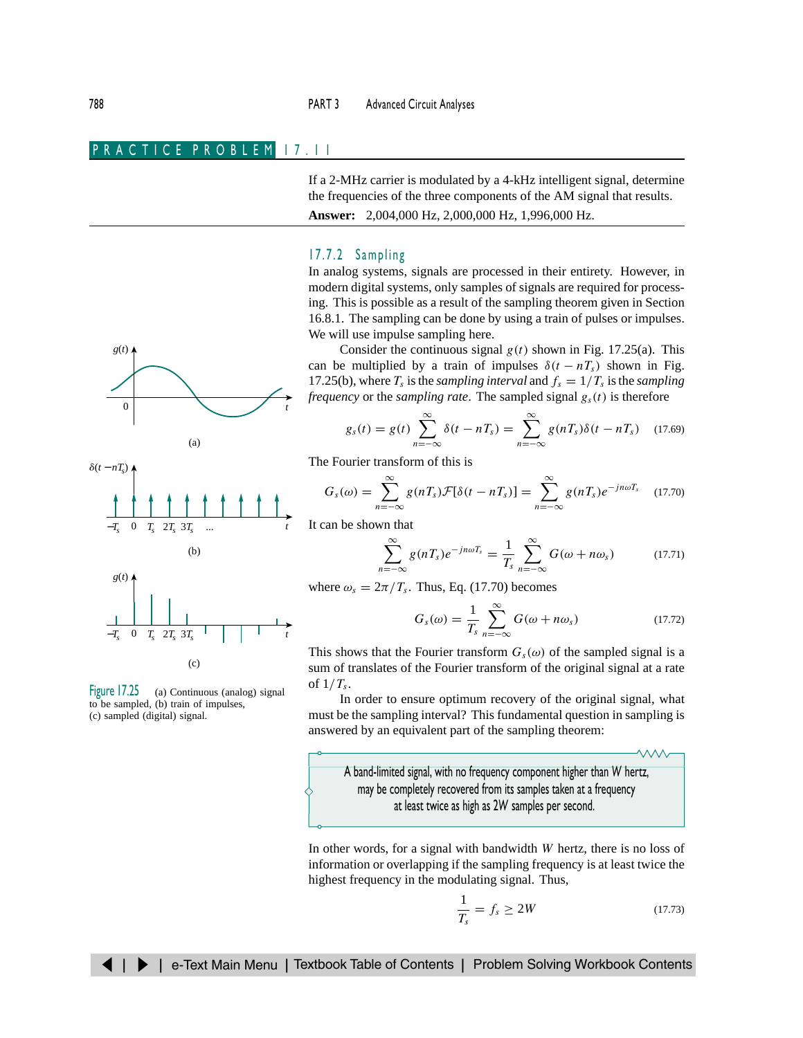If a 2-MHz carrier is modulated by a 4-kHz intelligent signal, determine the frequencies of the three components of the AM signal that results. **Answer:** 2,004,000 Hz, 2,000,000 Hz, 1,996,000 Hz.

## 17.7.2 Sampling

In analog systems, signals are processed in their entirety. However, in modern digital systems, only samples of signals are required for processing. This is possible as a result of the sampling theorem given in Section 16.8.1. The sampling can be done by using a train of pulses or impulses. We will use impulse sampling here.

Consider the continuous signal  $g(t)$  shown in Fig. 17.25(a). This can be multiplied by a train of impulses  $\delta(t - nT_s)$  shown in Fig. 17.25(b), where  $T_s$  is the *sampling interval* and  $f_s = 1/T_s$  is the *sampling frequency* or the *sampling rate*. The sampled signal  $g_s(t)$  is therefore

$$
g_s(t) = g(t) \sum_{n=-\infty}^{\infty} \delta(t - nT_s) = \sum_{n=-\infty}^{\infty} g(nT_s) \delta(t - nT_s) \quad (17.69)
$$

The Fourier transform of this is

$$
G_s(\omega) = \sum_{n=-\infty}^{\infty} g(nT_s) \mathcal{F}[\delta(t - nT_s)] = \sum_{n=-\infty}^{\infty} g(nT_s) e^{-jn\omega T_s}
$$
 (17.70)

It can be shown that

$$
\sum_{n=-\infty}^{\infty} g(nT_s)e^{-jn\omega T_s} = \frac{1}{T_s}\sum_{n=-\infty}^{\infty} G(\omega + n\omega_s)
$$
 (17.71)

where  $\omega_s = 2\pi/T_s$ . Thus, Eq. (17.70) becomes

$$
G_s(\omega) = \frac{1}{T_s} \sum_{n=-\infty}^{\infty} G(\omega + n\omega_s)
$$
 (17.72)

This shows that the Fourier transform  $G_s(\omega)$  of the sampled signal is a sum of translates of the Fourier transform of the original signal at a rate of  $1/T_s$ .

In order to ensure optimum recovery of the original signal, what must be the sampling interval? This fundamental question in sampling is answered by an equivalent part of the sampling theorem:

A band-limited signal, with no frequency component higher than *W* hertz, may be completely recovered from its samples taken at a frequency at least twice as high as 2*W* samples per second.

In other words, for a signal with bandwidth *W* hertz, there is no loss of information or overlapping if the sampling frequency is at least twice the highest frequency in the modulating signal. Thus,

$$
\frac{1}{T_s} = f_s \ge 2W\tag{17.73}
$$



Figure 17.25 (a) Continuous (analog) signal to be sampled, (b) train of impulses, (c) sampled (digital) signal.

*g*(*t*)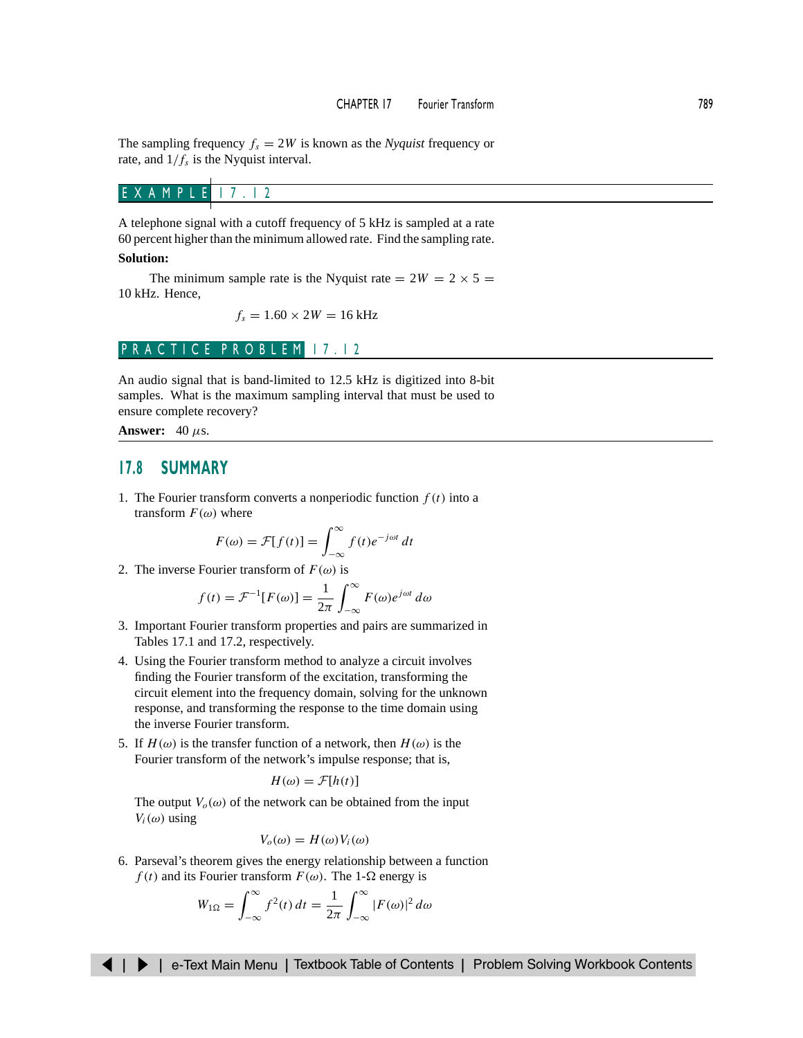The sampling frequency  $f_s = 2W$  is known as the *Nyquist* frequency or rate, and  $1/f_s$  is the Nyquist interval.

$$
E \times A \text{ M PLE} \boxed{17.12}
$$

A telephone signal with a cutoff frequency of 5 kHz is sampled at a rate 60 percent higher than the minimum allowed rate. Find the sampling rate.

#### **Solution:**

The minimum sample rate is the Nyquist rate  $= 2W = 2 \times 5 = 1$ 10 kHz. Hence,

$$
f_s = 1.60 \times 2W = 16 \text{ kHz}
$$

### PRACTICE PROBLEM 17.12

An audio signal that is band-limited to 12.5 kHz is digitized into 8-bit samples. What is the maximum sampling interval that must be used to ensure complete recovery?

**Answer:**  $40 \mu s$ .

# **17.8 SUMMARY**

1. The Fourier transform converts a nonperiodic function  $f(t)$  into a transform  $F(\omega)$  where

$$
F(\omega) = \mathcal{F}[f(t)] = \int_{-\infty}^{\infty} f(t)e^{-j\omega t} dt
$$

2. The inverse Fourier transform of  $F(\omega)$  is

$$
f(t) = \mathcal{F}^{-1}[F(\omega)] = \frac{1}{2\pi} \int_{-\infty}^{\infty} F(\omega) e^{j\omega t} d\omega
$$

- 3. Important Fourier transform properties and pairs are summarized in Tables 17.1 and 17.2, respectively.
- 4. Using the Fourier transform method to analyze a circuit involves finding the Fourier transform of the excitation, transforming the circuit element into the frequency domain, solving for the unknown response, and transforming the response to the time domain using the inverse Fourier transform.
- 5. If  $H(\omega)$  is the transfer function of a network, then  $H(\omega)$  is the Fourier transform of the network's impulse response; that is,

$$
H(\omega) = \mathcal{F}[h(t)]
$$

The output  $V<sub>o</sub>(\omega)$  of the network can be obtained from the input  $V_i(\omega)$  using

$$
V_o(\omega) = H(\omega) V_i(\omega)
$$

6. Parseval's theorem gives the energy relationship between a function  $f(t)$  and its Fourier transform  $F(\omega)$ . The 1- $\Omega$  energy is

$$
W_{1\Omega} = \int_{-\infty}^{\infty} f^2(t) dt = \frac{1}{2\pi} \int_{-\infty}^{\infty} |F(\omega)|^2 d\omega
$$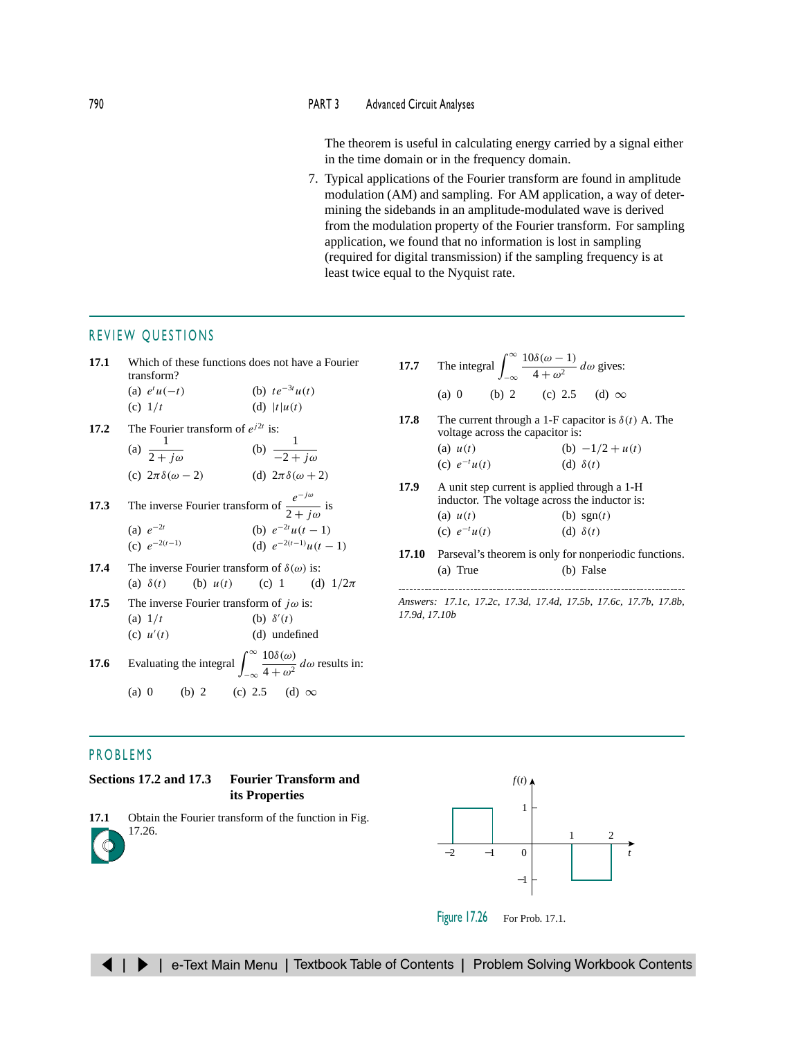The theorem is useful in calculating energy carried by a signal either in the time domain or in the frequency domain.

7. Typical applications of the Fourier transform are found in amplitude modulation (AM) and sampling. For AM application, a way of determining the sidebands in an amplitude-modulated wave is derived from the modulation property of the Fourier transform. For sampling application, we found that no information is lost in sampling (required for digital transmission) if the sampling frequency is at least twice equal to the Nyquist rate.

# REVIEW QUESTIONS

- **17.1** Which of these functions does not have a Fourier transform?
	- (a)  $e^{t}u(-t)$ *u*(*−t*) (b)  $te^{-3t}u(t)$
	- (c)  $1/t$  (d)  $|t|u(t)$
- **17.2** The Fourier transform of  $e^{j2t}$  is: (a)  $\frac{1}{2 + j\omega}$  (b) 1 −2 + *jω*
	- (c)  $2\pi \delta(\omega 2)$  (d)  $2\pi \delta(\omega + 2)$
- **17.3** The inverse Fourier transform of *<sup>e</sup>*−*jω*  $\frac{1}{2 + j\omega}$  is (a)  $e^{-2t}$  (b)  $e^{-2t}u(t-1)$  $(e)$   $e^{-2(t-1)}$ *(d)*  $e^{-2(t-1)}u(t-1)$
- **17.4** The inverse Fourier transform of *δ(ω)* is: (a)  $\delta(t)$  (b)  $u(t)$  (c) 1 (d)  $1/2\pi$
- **17.5** The inverse Fourier transform of *jω* is:  $(a)$   $1/t$  *(t)* (c) *u (t)* (d) undefined
- **17.6** Evaluating the integral  $\int_{0}^{\infty}$ −∞  $\frac{10\delta(\omega)}{4+\omega^2}$  *d* $\omega$  results in: (a) 0 (b) 2 (c) 2.5 (d)  $\infty$

|      | <b>17.7</b> The integral $\int_{-\infty}^{\infty} \frac{10\delta(\omega - 1)}{4 + \omega^2} d\omega$ gives: |                                  |                                                           |  |
|------|-------------------------------------------------------------------------------------------------------------|----------------------------------|-----------------------------------------------------------|--|
|      |                                                                                                             | (a) 0 (b) 2 (c) 2.5 (d) $\infty$ |                                                           |  |
| 17.8 | voltage across the capacitor is:                                                                            |                                  | The current through a 1-F capacitor is $\delta(t)$ A. The |  |

- (a)  $u(t)$  (b)  $-1/2 + u(t)$ (c)  $e^{-t}u(t)$  $(d)$   $\delta(t)$
- **17.9** A unit step current is applied through a 1-H inductor. The voltage across the inductor is: (a)  $u(t)$  (b) sgn(t) (c)  $e^{-t}u(t)$  $(d)$   $\delta(t)$
- **17.10** Parseval's theorem is only for nonperiodic functions. (a) True (b) False

*Answers: 17.1c, 17.2c, 17.3d, 17.4d, 17.5b, 17.6c, 17.7b, 17.8b, 17.9d, 17.10b*

# PROBLEMS

# **Sections 17.2 and 17.3 Fourier Transform and its Properties**

**17.1** Obtain the Fourier transform of the function in Fig. 17.26.



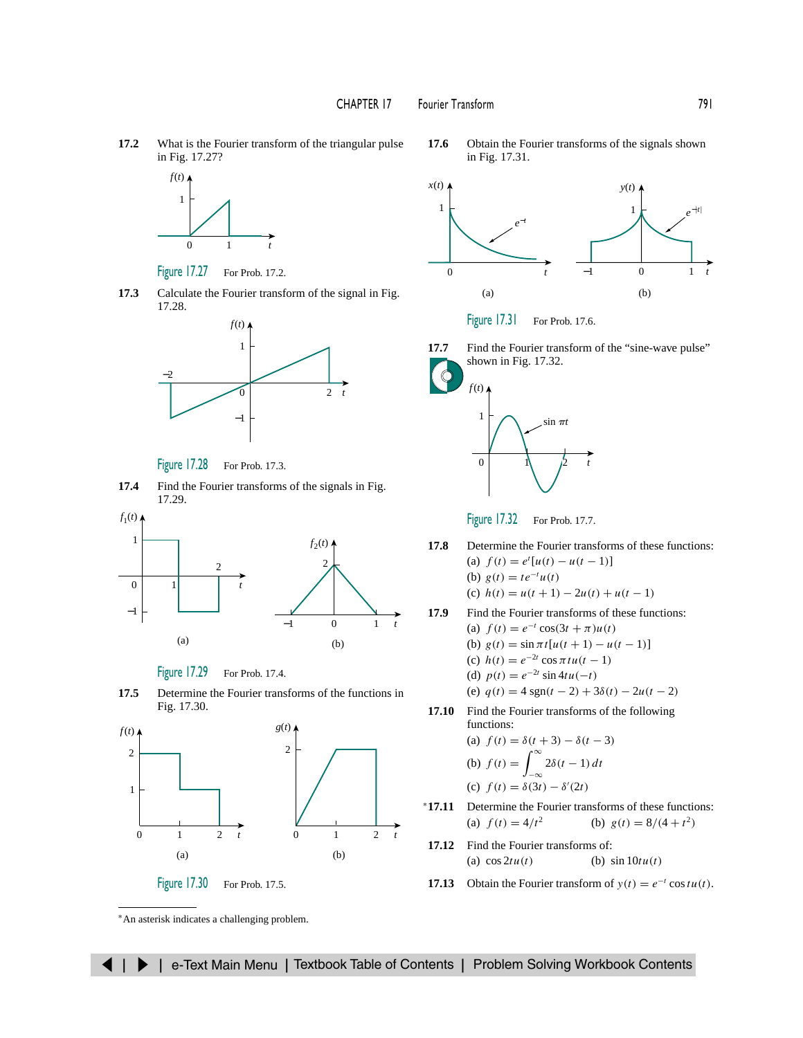**17.2** What is the Fourier transform of the triangular pulse in Fig. 17.27?



Figure 17.27 For Prob. 17.2.

**17.3** Calculate the Fourier transform of the signal in Fig. 17.28.





**17.4** Find the Fourier transforms of the signals in Fig. 17.29.





**17.5** Determine the Fourier transforms of the functions in Fig. 17.30.



<sup>∗</sup>An asterisk indicates a challenging problem.

**17.6** Obtain the Fourier transforms of the signals shown in Fig. 17.31.



Figure 17.31 For Prob. 17.6.





Figure 17.32 For Prob. 17.7.

**17.8** Determine the Fourier transforms of these functions: (a)  $f(t) = e^t[u(t) - u(t-1)]$ (b)  $g(t) = te^{-t}u(t)$ 

(c) 
$$
h(t) = u(t+1) - 2u(t) + u(t-1)
$$

**17.9** Find the Fourier transforms of these functions:

- (a)  $f(t) = e^{-t} \cos(3t + \pi)u(t)$
- (b)  $g(t) = \sin \pi t [u(t+1) u(t-1)]$
- (c)  $h(t) = e^{-2t} \cos \pi t u(t-1)$
- (d)  $p(t) = e^{-2t} \sin 4tu(-t)$
- (e)  $q(t) = 4 \text{ sgn}(t 2) + 3\delta(t) 2u(t 2)$
- **17.10** Find the Fourier transforms of the following functions:

(a) 
$$
f(t) = \delta(t + 3) - \delta(t - 3)
$$
  
\n(b)  $f(t) = \int_{-\infty}^{\infty} 2\delta(t - 1) dt$ 

(c) 
$$
f(t) = \delta(3t) - \delta'(2t)
$$

- \*17.11 Determine the Fourier transforms of these functions: (a)  $f(t) = 4/t^2$  (b)  $g(t) = 8/(4 + t^2)$
- **17.12** Find the Fourier transforms of: (a) cos 2*tu(t)* (b) sin 10*tu(t)*
- **17.13** Obtain the Fourier transform of  $y(t) = e^{-t} \cos t u(t)$ .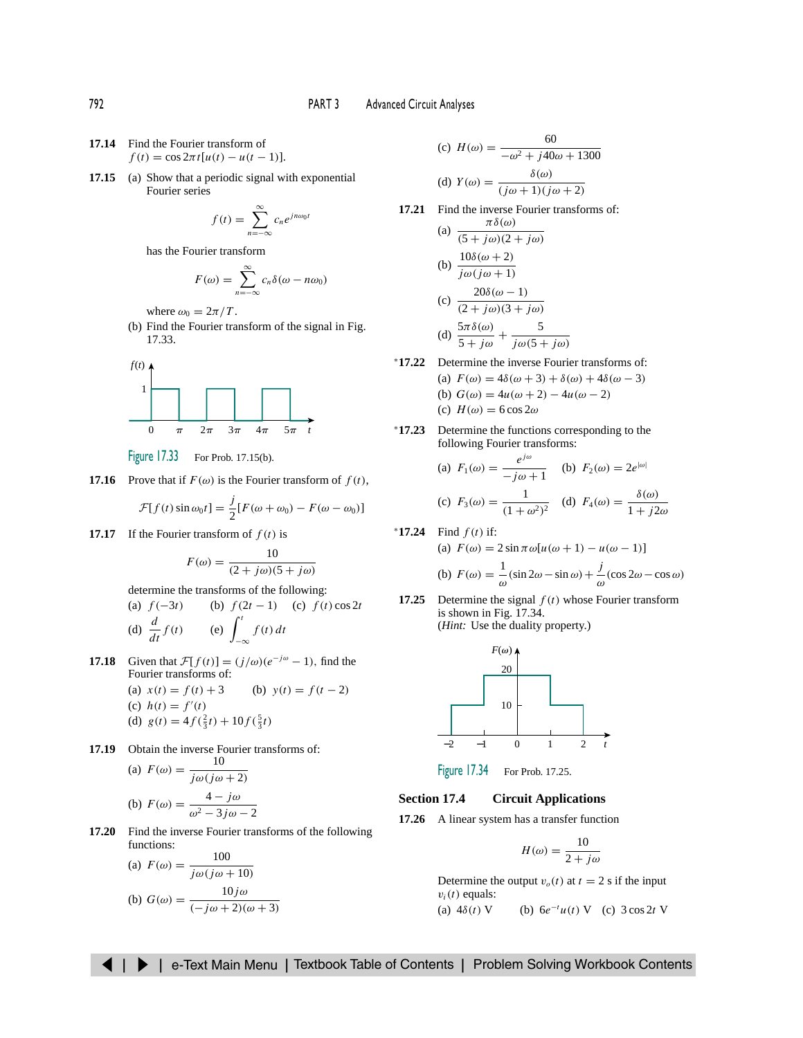- **17.14** Find the Fourier transform of  $f(t) = \cos 2\pi t [u(t) - u(t-1)].$
- **17.15** (a) Show that a periodic signal with exponential Fourier series

$$
f(t) = \sum_{n = -\infty}^{\infty} c_n e^{jn\omega_0 t}
$$

has the Fourier transform

$$
F(\omega) = \sum_{n=-\infty}^{\infty} c_n \delta(\omega - n\omega_0)
$$

where  $\omega_0 = 2\pi/T$ .

(b) Find the Fourier transform of the signal in Fig. 17.33.



Figure 17.33 For Prob. 17.15(b).

**17.16** Prove that if  $F(\omega)$  is the Fourier transform of  $f(t)$ ,

$$
\mathcal{F}[f(t)\sin\omega_0 t] = \frac{j}{2}[F(\omega + \omega_0) - F(\omega - \omega_0)]
$$

**17.17** If the Fourier transform of  $f(t)$  is

$$
F(\omega) = \frac{10}{(2 + j\omega)(5 + j\omega)}
$$

determine the transforms of the following:

(a) 
$$
f(-3t)
$$
 (b)  $f(2t - 1)$  (c)  $f(t) \cos 2t$   
(d)  $\frac{d}{dt} f(t)$  (e)  $\int_{-\infty}^{t} f(t) dt$ 

**17.18** Given that  $\mathcal{F}[f(t)] = (j/\omega)(e^{-j\omega} - 1)$ , find the Fourier transforms of: (a)  $x(t) = f(t) + 3$  (b)  $y(t) = f(t-2)$ (c)  $h(t) = f'(t)$ 

(d) 
$$
g(t) = 4f(\frac{2}{3}t) + 10f(\frac{5}{3}t)
$$

**17.19** Obtain the inverse Fourier transforms of:<br>10

(a) 
$$
F(\omega) = \frac{10}{j\omega(j\omega + 2)}
$$
  
\n(b)  $F(\omega) = \frac{4 - j\omega}{\omega^2 - 3j\omega - 2}$ 

**17.20** Find the inverse Fourier transforms of the following functions:

(a) 
$$
F(\omega) = \frac{100}{j\omega(j\omega + 10)}
$$
  
\n(b)  $G(\omega) = \frac{10j\omega}{(-j\omega + 2)(\omega + 3)}$ 

(c) 
$$
H(\omega) = \frac{60}{-\omega^2 + j40\omega + 1300}
$$
  
(d) 
$$
Y(\omega) = \frac{\delta(\omega)}{(j\omega + 1)(j\omega + 2)}
$$

**17.21** Find the inverse Fourier transforms of:

(a) 
$$
\frac{\pi \delta(\omega)}{(5+j\omega)(2+j\omega)}
$$
  
\n(b) 
$$
\frac{10\delta(\omega+2)}{j\omega(j\omega+1)}
$$
  
\n(c) 
$$
\frac{20\delta(\omega-1)}{(2+j\omega)(3+j\omega)}
$$

(d) 
$$
\frac{5\pi\delta(\omega)}{5+j\omega} + \frac{5}{j\omega(5+j\omega)}
$$

\*17.22 Determine the inverse Fourier transforms of:

(a) 
$$
F(\omega) = 4\delta(\omega + 3) + \delta(\omega) + 4\delta(\omega - 3)
$$

(b) 
$$
G(\omega) = 4u(\omega + 2) - 4u(\omega - 2)
$$

(c)  $H(\omega) = 6 \cos 2\omega$ 

**17.23** <sup>∗</sup> Determine the functions corresponding to the following Fourier transforms:

(a) 
$$
F_1(\omega) = \frac{e^{j\omega}}{-j\omega + 1}
$$
 (b)  $F_2(\omega) = 2e^{|\omega|}$   
(c)  $F_3(\omega) = \frac{1}{(1 + \omega^2)^2}$  (d)  $F_4(\omega) = \frac{\delta(\omega)}{1 + j2\omega}$ 

- **17.24** <sup>∗</sup> Find *f (t)* if: (a)  $F(\omega) = 2 \sin \pi \omega [u(\omega + 1) - u(\omega - 1)]$ (b)  $F(\omega) = \frac{1}{\omega} (\sin 2\omega - \sin \omega) + \frac{j}{\omega} (\cos 2\omega - \cos \omega)$
- **17.25** Determine the signal *f (t)* whose Fourier transform is shown in Fig. 17.34. (*Hint:* Use the duality property.)



Figure 17.34 For Prob. 17.25.

## **Section 17.4 Circuit Applications**

**17.26** A linear system has a transfer function

$$
H(\omega)=\frac{10}{2+j\omega}
$$

Determine the output  $v<sub>o</sub>(t)$  at  $t = 2$  s if the input  $v_i(t)$  equals:

(a)  $4\delta(t)$  V (b)  $6e^{-t}u(t)$  V (c)  $3\cos 2t$  V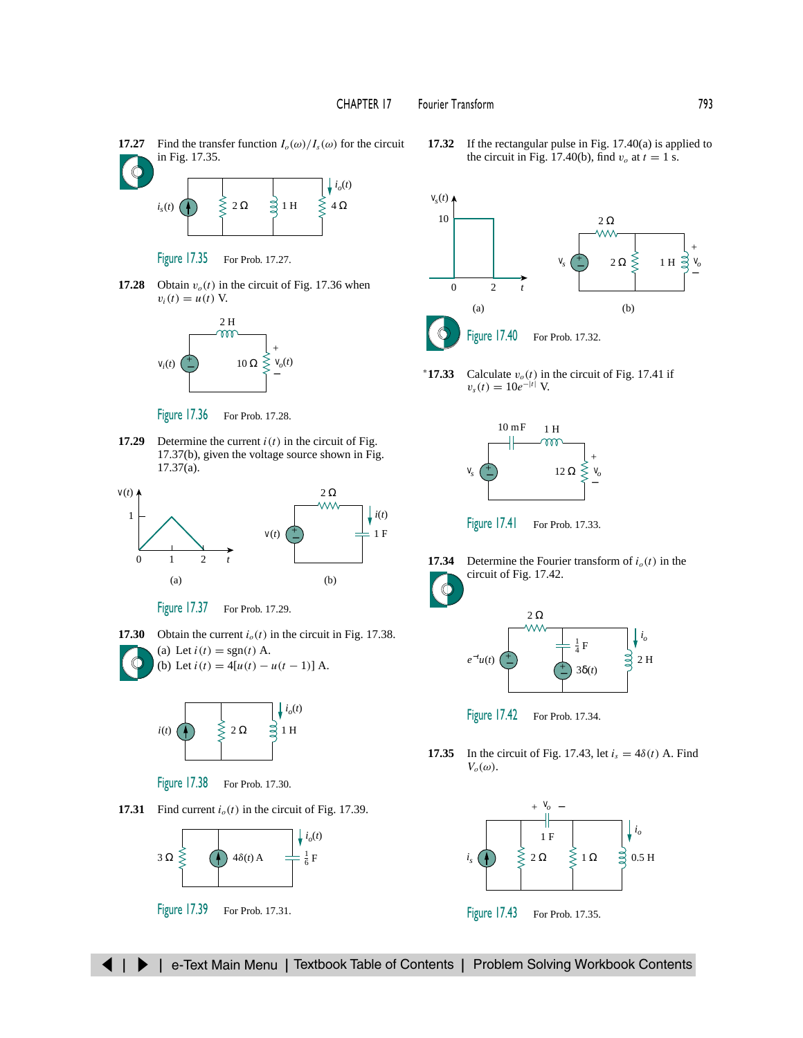

 $i_s(t)$   $\left( \begin{matrix} \uparrow \\ \downarrow \end{matrix} \right)$   $\geq 2\Omega$   $\geq 1$  H  $\geq 4\Omega$ 

Figure 17.35 For Prob. 17.27.

**17.28** Obtain  $v<sub>o</sub>(t)$  in the circuit of Fig. 17.36 when  $v_i(t) = u(t)$  V.



Figure 17.36 For Prob. 17.28.

**17.29** Determine the current  $i(t)$  in the circuit of Fig. 17.37(b), given the voltage source shown in Fig. 17.37(a).



Figure 17.37 For Prob. 17.29.

**17.30** Obtain the current  $i<sub>o</sub>(t)$  in the circuit in Fig. 17.38. (a) Let  $i(t) = sgn(t)$  A. (b) Let  $i(t) = 4[u(t) - u(t-1)]$  A.



Figure 17.38 For Prob. 17.30.

**17.31** Find current  $i<sub>o</sub>(t)$  in the circuit of Fig. 17.39.









**17.33** • Calculate  $v_o(t)$  in the circuit of Fig. 17.41 if  $v_s(t) = 10e^{-|t|}$  V.



Figure 17.41 For Prob. 17.33.

**17.34** Determine the Fourier transform of  $i_o(t)$  in the circuit of Fig. 17.42.  $\mathbb{Q}$ 



Figure 17.42 For Prob. 17.34.

**17.35** In the circuit of Fig. 17.43, let  $i_s = 4\delta(t)$  A. Find  $V_o(\omega)$ .



Figure 17.43 For Prob. 17.35.